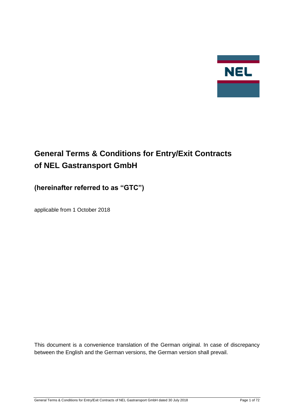

# **General Terms & Conditions for Entry/Exit Contracts of NEL Gastransport GmbH**

# **(hereinafter referred to as "GTC")**

applicable from 1 October 2018

This document is a convenience translation of the German original. In case of discrepancy between the English and the German versions, the German version shall prevail.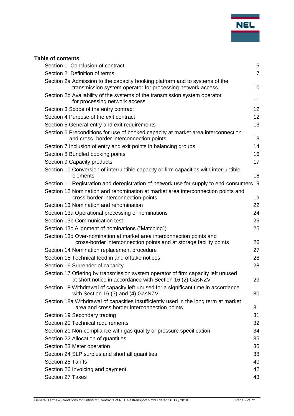

# **Table of contents**

| Section 1 Conclusion of contract                                                                                                             | 5              |
|----------------------------------------------------------------------------------------------------------------------------------------------|----------------|
| Section 2 Definition of terms                                                                                                                | $\overline{7}$ |
| Section 2a Admission to the capacity booking platform and to systems of the                                                                  |                |
| transmission system operator for processing network access                                                                                   | 10             |
| Section 2b Availability of the systems of the transmission system operator<br>for processing network access                                  | 11             |
| Section 3 Scope of the entry contract                                                                                                        | 12             |
| Section 4 Purpose of the exit contract                                                                                                       | 12             |
| Section 5 General entry and exit requirements                                                                                                | 13             |
| Section 6 Preconditions for use of booked capacity at market area interconnection<br>and cross- border interconnection points                | 13             |
| Section 7 Inclusion of entry and exit points in balancing groups                                                                             | 14             |
| Section 8 Bundled booking points                                                                                                             | 16             |
| Section 9 Capacity products                                                                                                                  | 17             |
| Section 10 Conversion of interruptible capacity or firm capacities with interruptible                                                        |                |
| elements                                                                                                                                     | 18             |
| Section 11 Registration and deregistration of network use for supply to end-consumers 19                                                     |                |
| Section 12 Nomination and renomination at market area interconnection points and<br>cross-border interconnection points                      | 19             |
| Section 13 Nomination and renomination                                                                                                       | 22             |
| Section 13a Operational processing of nominations                                                                                            | 24             |
| Section 13b Communication test                                                                                                               | 25             |
| Section 13c Alignment of nominations ("Matching")                                                                                            | 25             |
| Section 13d Over-nomination at market area interconnection points and<br>cross-border interconnection points and at storage facility points  | 26             |
| Section 14 Nomination replacement procedure                                                                                                  | 27             |
| Section 15 Technical feed in and offtake notices                                                                                             | 28             |
| Section 16 Surrender of capacity                                                                                                             | 28             |
| Section 17 Offering by transmission system operator of firm capacity left unused<br>at short notice in accordance with Section 16 (2) GasNZV | 29             |
| Section 18 Withdrawal of capacity left unused for a significant time in accordance<br>with Section 16 (3) and (4) GasNZV                     | 30             |
| Section 18a Withdrawal of capacities insufficiently used in the long term at market<br>area and cross border interconnection points          | 31             |
| Section 19 Secondary trading                                                                                                                 | 31             |
| Section 20 Technical requirements                                                                                                            | 32             |
| Section 21 Non-compliance with gas quality or pressure specification                                                                         | 34             |
| Section 22 Allocation of quantities                                                                                                          | 35             |
| Section 23 Meter operation                                                                                                                   | 35             |
| Section 24 SLP surplus and shortfall quantities                                                                                              | 38             |
| Section 25 Tariffs                                                                                                                           | 40             |
| Section 26 Invoicing and payment                                                                                                             | 42             |
| Section 27 Taxes                                                                                                                             | 43             |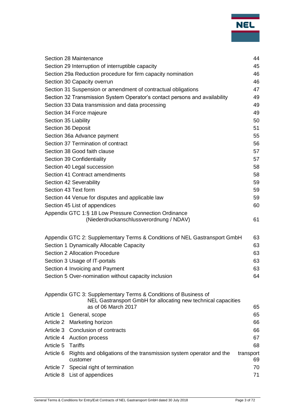|                      | Section 28 Maintenance                                                         | 44              |  |
|----------------------|--------------------------------------------------------------------------------|-----------------|--|
|                      | Section 29 Interruption of interruptible capacity                              | 45              |  |
|                      | Section 29a Reduction procedure for firm capacity nomination                   | 46              |  |
|                      | Section 30 Capacity overrun                                                    | 46              |  |
|                      | Section 31 Suspension or amendment of contractual obligations                  | 47              |  |
|                      | Section 32 Transmission System Operator's contact persons and availability     | 49              |  |
|                      | Section 33 Data transmission and data processing                               | 49              |  |
|                      | Section 34 Force majeure                                                       | 49              |  |
| Section 35 Liability |                                                                                | 50              |  |
| Section 36 Deposit   |                                                                                | 51              |  |
|                      | Section 36a Advance payment                                                    | 55              |  |
|                      | Section 37 Termination of contract                                             | 56              |  |
|                      | Section 38 Good faith clause                                                   | 57              |  |
|                      | Section 39 Confidentiality                                                     | 57              |  |
|                      | Section 40 Legal succession                                                    |                 |  |
|                      | Section 41 Contract amendments                                                 | 58              |  |
|                      | Section 42 Severability                                                        | 59              |  |
|                      | Section 43 Text form                                                           | 59              |  |
|                      | Section 44 Venue for disputes and applicable law                               | 59              |  |
|                      | Section 45 List of appendices                                                  | 60              |  |
|                      | Appendix GTC 1:§ 18 Low Pressure Connection Ordinance                          |                 |  |
|                      | (Niederdruckanschlussverordnung / NDAV)                                        | 61              |  |
|                      |                                                                                |                 |  |
|                      | Appendix GTC 2: Supplementary Terms & Conditions of NEL Gastransport GmbH      | 63              |  |
|                      | Section 1 Dynamically Allocable Capacity                                       | 63              |  |
|                      | Section 2 Allocation Procedure                                                 | 63              |  |
|                      | Section 3 Usage of IT-portals                                                  | 63              |  |
|                      | Section 4 Invoicing and Payment                                                | 63              |  |
|                      | Section 5 Over-nomination without capacity inclusion                           | 64              |  |
|                      | Appendix GTC 3: Supplementary Terms & Conditions of Business of                |                 |  |
|                      | NEL Gastransport GmbH for allocating new technical capacities                  |                 |  |
|                      | as of 06 March 2017                                                            | 65              |  |
| Article 1            | General, scope                                                                 | 65              |  |
| Article 2            | Marketing horizon                                                              | 66              |  |
|                      | Article 3 Conclusion of contracts                                              | 66              |  |
|                      | Article 4 Auction process                                                      | 67              |  |
| Article 5            | <b>Tariffs</b>                                                                 | 68              |  |
| Article 6            | Rights and obligations of the transmission system operator and the<br>customer | transport<br>69 |  |
| Article 7            | Special right of termination                                                   | 70              |  |
| Article 8            | List of appendices                                                             | 71              |  |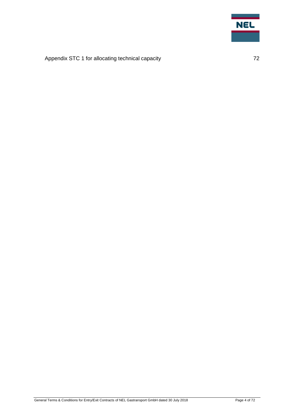

# [Appendix STC 1 for allocating technical capacity](#page-71-0) **72** T2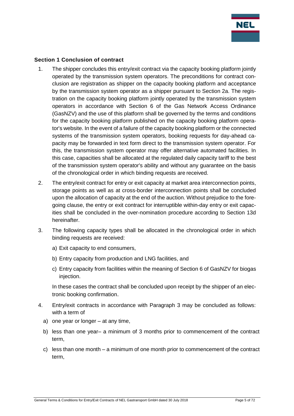

#### <span id="page-4-0"></span>**Section 1 Conclusion of contract**

- 1. The shipper concludes this entry/exit contract via the capacity booking platform jointly operated by the transmission system operators. The preconditions for contract conclusion are registration as shipper on the capacity booking platform and acceptance by the transmission system operator as a shipper pursuant to Section 2a. The registration on the capacity booking platform jointly operated by the transmission system operators in accordance with Section 6 of the Gas Network Access Ordinance (GasNZV) and the use of this platform shall be governed by the terms and conditions for the capacity booking platform published on the capacity booking platform operator's website. In the event of a failure of the capacity booking platform or the connected systems of the transmission system operators, booking requests for day-ahead capacity may be forwarded in text form direct to the transmission system operator. For this, the transmission system operator may offer alternative automated facilities. In this case, capacities shall be allocated at the regulated daily capacity tariff to the best of the transmission system operator's ability and without any guarantee on the basis of the chronological order in which binding requests are received.
- 2. The entry/exit contract for entry or exit capacity at market area interconnection points, storage points as well as at cross-border interconnection points shall be concluded upon the allocation of capacity at the end of the auction. Without prejudice to the foregoing clause, the entry or exit contract for interruptible within-day entry or exit capacities shall be concluded in the over-nomination procedure according to Section 13d hereinafter.
- 3. The following capacity types shall be allocated in the chronological order in which binding requests are received:
	- a) Exit capacity to end consumers,
	- b) Entry capacity from production and LNG facilities, and
	- c) Entry capacity from facilities within the meaning of Section 6 of GasNZV for biogas injection.

In these cases the contract shall be concluded upon receipt by the shipper of an electronic booking confirmation.

- 4. Entry/exit contracts in accordance with Paragraph 3 may be concluded as follows: with a term of
	- a) one year or longer at any time,
	- b) less than one year– a minimum of 3 months prior to commencement of the contract term,
	- c) less than one month a minimum of one month prior to commencement of the contract term,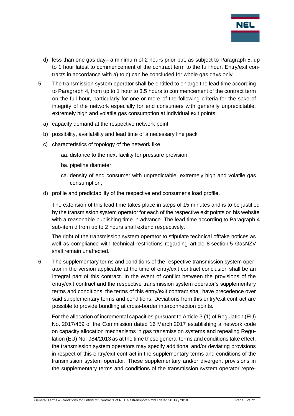

- d) less than one gas day– a minimum of 2 hours prior but, as subject to Paragraph 5, up to 1 hour latest to commencement of the contract term to the full hour. Entry/exit contracts in accordance with a) to c) can be concluded for whole gas days only.
- 5. The transmission system operator shall be entitled to enlarge the lead time according to Paragraph 4, from up to 1 hour to 3.5 hours to commencement of the contract term on the full hour, particularly for one or more of the following criteria for the sake of integrity of the network especially for end consumers with generally unpredictable, extremely high and volatile gas consumption at individual exit points:
	- a) capacity demand at the respective network point,
	- b) possibility, availability and lead time of a necessary line pack
	- c) characteristics of topology of the network like
		- aa. distance to the next facility for pressure provision,
		- ba. pipeline diameter,
		- ca. density of end consumer with unpredictable, extremely high and volatile gas consumption,
	- d) profile and predictability of the respective end consumer's load profile.

The extension of this lead time takes place in steps of 15 minutes and is to be justified by the transmission system operator for each of the respective exit points on his website with a reasonable publishing time in advance. The lead time according to Paragraph 4 sub-item d from up to 2 hours shall extend respectively.

The right of the transmission system operator to stipulate technical offtake notices as well as compliance with technical restrictions regarding article 8 section 5 GasNZV shall remain unaffected.

6. The supplementary terms and conditions of the respective transmission system operator in the version applicable at the time of entry/exit contract conclusion shall be an integral part of this contract. In the event of conflict between the provisions of the entry/exit contract and the respective transmission system operator's supplementary terms and conditions, the terms of this entry/exit contract shall have precedence over said supplementary terms and conditions. Deviations from this entry/exit contract are possible to provide bundling at cross-border interconnection points.

For the allocation of incremental capacities pursuant to Article 3 (1) of Regulation (EU) No. 2017/459 of the Commission dated 16 March 2017 establishing a network code on capacity allocation mechanisms in gas transmission systems and repealing Regulation (EU) No. 984/2013 as at the time these general terms and conditions take effect, the transmission system operators may specify additional and/or deviating provisions in respect of this entry/exit contract in the supplementary terms and conditions of the transmission system operator. These supplementary and/or divergent provisions in the supplementary terms and conditions of the transmission system operator repre-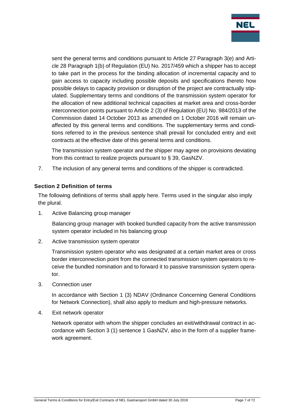

sent the general terms and conditions pursuant to Article 27 Paragraph 3(e) and Article 28 Paragraph 1(b) of Regulation (EU) No. 2017/459 which a shipper has to accept to take part in the process for the binding allocation of incremental capacity and to gain access to capacity including possible deposits and specifications thereto how possible delays to capacity provision or disruption of the project are contractually stipulated. Supplementary terms and conditions of the transmission system operator for the allocation of new additional technical capacities at market area and cross-border interconnection points pursuant to Article 2 (3) of Regulation (EU) No. 984/2013 of the Commission dated 14 October 2013 as amended on 1 October 2016 will remain unaffected by this general terms and conditions. The supplementary terms and conditions referred to in the previous sentence shall prevail for concluded entry and exit contracts at the effective date of this general terms and conditions.

The transmission system operator and the shipper may agree on provisions deviating from this contract to realize projects pursuant to § 39, GasNZV.

<span id="page-6-0"></span>7. The inclusion of any general terms and conditions of the shipper is contradicted.

#### **Section 2 Definition of terms**

The following definitions of terms shall apply here. Terms used in the singular also imply the plural.

1. Active Balancing group manager

Balancing group manager with booked bundled capacity from the active transmission system operator included in his balancing group

2. Active transmission system operator

Transmission system operator who was designated at a certain market area or cross border interconnection point from the connected transmission system operators to receive the bundled nomination and to forward it to passive transmission system operator.

3. Connection user

In accordance with Section 1 (3) NDAV (Ordinance Concerning General Conditions for Network Connection), shall also apply to medium and high-pressure networks.

4. Exit network operator

Network operator with whom the shipper concludes an exit/withdrawal contract in accordance with Section 3 (1) sentence 1 GasNZV, also in the form of a supplier framework agreement.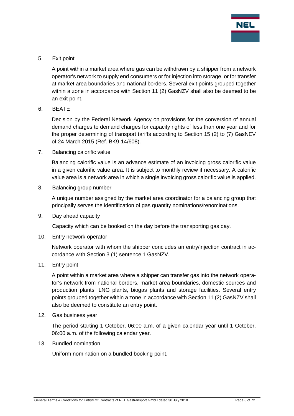

5. Exit point

A point within a market area where gas can be withdrawn by a shipper from a network operator's network to supply end consumers or for injection into storage, or for transfer at market area boundaries and national borders. Several exit points grouped together within a zone in accordance with Section 11 (2) GasNZV shall also be deemed to be an exit point.

6. BEATE

Decision by the Federal Network Agency on provisions for the conversion of annual demand charges to demand charges for capacity rights of less than one year and for the proper determining of transport tariffs according to Section 15 (2) to (7) GasNEV of 24 March 2015 (Ref. BK9-14/608).

7. Balancing calorific value

Balancing calorific value is an advance estimate of an invoicing gross calorific value in a given calorific value area. It is subject to monthly review if necessary. A calorific value area is a network area in which a single invoicing gross calorific value is applied.

8. Balancing group number

A unique number assigned by the market area coordinator for a balancing group that principally serves the identification of gas quantity nominations/renominations.

9. Day ahead capacity

Capacity which can be booked on the day before the transporting gas day.

10. Entry network operator

Network operator with whom the shipper concludes an entry/injection contract in accordance with Section 3 (1) sentence 1 GasNZV.

11. Entry point

A point within a market area where a shipper can transfer gas into the network operator's network from national borders, market area boundaries, domestic sources and production plants, LNG plants, biogas plants and storage facilities. Several entry points grouped together within a zone in accordance with Section 11 (2) GasNZV shall also be deemed to constitute an entry point.

12. Gas business year

The period starting 1 October, 06:00 a.m. of a given calendar year until 1 October, 06:00 a.m. of the following calendar year.

13. Bundled nomination

Uniform nomination on a bundled booking point.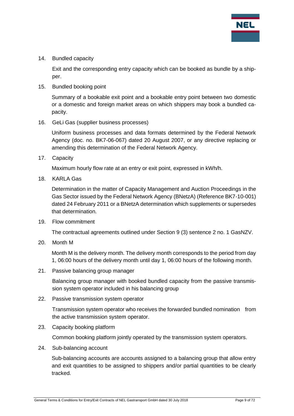

14. Bundled capacity

Exit and the corresponding entry capacity which can be booked as bundle by a shipper.

15. Bundled booking point

Summary of a bookable exit point and a bookable entry point between two domestic or a domestic and foreign market areas on which shippers may book a bundled capacity.

16. GeLi Gas (supplier business processes)

Uniform business processes and data formats determined by the Federal Network Agency (doc. no. BK7-06-067) dated 20 August 2007, or any directive replacing or amending this determination of the Federal Network Agency.

17. Capacity

Maximum hourly flow rate at an entry or exit point, expressed in kWh/h.

18. KARLA Gas

Determination in the matter of Capacity Management and Auction Proceedings in the Gas Sector issued by the Federal Network Agency (BNetzA) (Reference BK7-10-001) dated 24 February 2011 or a BNetzA determination which supplements or supersedes that determination.

19. Flow commitment

The contractual agreements outlined under Section 9 (3) sentence 2 no. 1 GasNZV.

20. Month M

Month M is the delivery month. The delivery month corresponds to the period from day 1, 06:00 hours of the delivery month until day 1, 06:00 hours of the following month.

21. Passive balancing group manager

Balancing group manager with booked bundled capacity from the passive transmission system operator included in his balancing group

22. Passive transmission system operator

Transmission system operator who receives the forwarded bundled nomination from the active transmission system operator.

23. Capacity booking platform

Common booking platform jointly operated by the transmission system operators.

24. Sub-balancing account

Sub-balancing accounts are accounts assigned to a balancing group that allow entry and exit quantities to be assigned to shippers and/or partial quantities to be clearly tracked.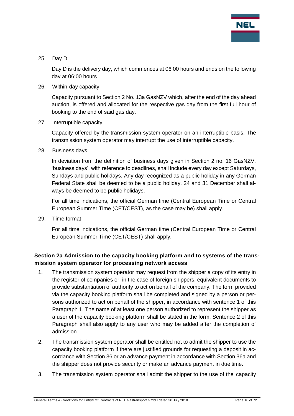

#### 25. Day D

Day D is the delivery day, which commences at 06:00 hours and ends on the following day at 06:00 hours

26. Within-day capacity

Capacity pursuant to Section 2 No. 13a GasNZV which, after the end of the day ahead auction, is offered and allocated for the respective gas day from the first full hour of booking to the end of said gas day.

27. Interruptible capacity

Capacity offered by the transmission system operator on an interruptible basis. The transmission system operator may interrupt the use of interruptible capacity.

28. Business days

In deviation from the definition of business days given in Section 2 no. 16 GasNZV, 'business days', with reference to deadlines, shall include every day except Saturdays, Sundays and public holidays. Any day recognized as a public holiday in any German Federal State shall be deemed to be a public holiday. 24 and 31 December shall always be deemed to be public holidays.

For all time indications, the official German time (Central European Time or Central European Summer Time (CET/CEST), as the case may be) shall apply.

29. Time format

For all time indications, the official German time (Central European Time or Central European Summer Time (CET/CEST) shall apply.

# <span id="page-9-0"></span>**Section 2a Admission to the capacity booking platform and to systems of the transmission system operator for processing network access**

- 1. The transmission system operator may request from the shipper a copy of its entry in the register of companies or, in the case of foreign shippers, equivalent documents to provide substantiation of authority to act on behalf of the company. The form provided via the capacity booking platform shall be completed and signed by a person or persons authorized to act on behalf of the shipper, in accordance with sentence 1 of this Paragraph 1. The name of at least one person authorized to represent the shipper as a user of the capacity booking platform shall be stated in the form. Sentence 2 of this Paragraph shall also apply to any user who may be added after the completion of admission.
- 2. The transmission system operator shall be entitled not to admit the shipper to use the capacity booking platform if there are justified grounds for requesting a deposit in accordance with Section 36 or an advance payment in accordance with Section 36a and the shipper does not provide security or make an advance payment in due time.
- 3. The transmission system operator shall admit the shipper to the use of the capacity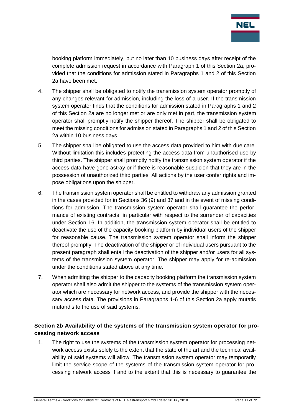

booking platform immediately, but no later than 10 business days after receipt of the complete admission request in accordance with Paragraph 1 of this Section 2a, provided that the conditions for admission stated in Paragraphs 1 and 2 of this Section 2a have been met.

- 4. The shipper shall be obligated to notify the transmission system operator promptly of any changes relevant for admission, including the loss of a user. If the transmission system operator finds that the conditions for admission stated in Paragraphs 1 and 2 of this Section 2a are no longer met or are only met in part, the transmission system operator shall promptly notify the shipper thereof. The shipper shall be obligated to meet the missing conditions for admission stated in Paragraphs 1 and 2 of this Section 2a within 10 business days.
- 5. The shipper shall be obligated to use the access data provided to him with due care. Without limitation this includes protecting the access data from unauthorised use by third parties. The shipper shall promptly notify the transmission system operator if the access data have gone astray or if there is reasonable suspicion that they are in the possession of unauthorized third parties. All actions by the user confer rights and impose obligations upon the shipper.
- 6. The transmission system operator shall be entitled to withdraw any admission granted in the cases provided for in Sections 36 (9) and 37 and in the event of missing conditions for admission. The transmission system operator shall guarantee the performance of existing contracts, in particular with respect to the surrender of capacities under Section 16. In addition, the transmission system operator shall be entitled to deactivate the use of the capacity booking platform by individual users of the shipper for reasonable cause. The transmission system operator shall inform the shipper thereof promptly. The deactivation of the shipper or of individual users pursuant to the present paragraph shall entail the deactivation of the shipper and/or users for all systems of the transmission system operator. The shipper may apply for re-admission under the conditions stated above at any time.
- 7. When admitting the shipper to the capacity booking platform the transmission system operator shall also admit the shipper to the systems of the transmission system operator which are necessary for network access, and provide the shipper with the necessary access data. The provisions in Paragraphs 1-6 of this Section 2a apply mutatis mutandis to the use of said systems.

# <span id="page-10-0"></span>**Section 2b Availability of the systems of the transmission system operator for processing network access**

1. The right to use the systems of the transmission system operator for processing network access exists solely to the extent that the state of the art and the technical availability of said systems will allow. The transmission system operator may temporarily limit the service scope of the systems of the transmission system operator for processing network access if and to the extent that this is necessary to guarantee the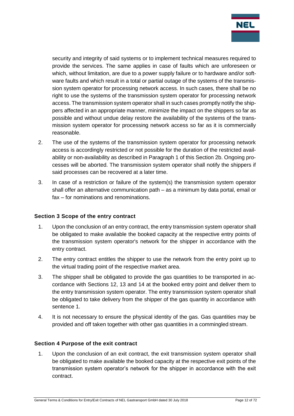

security and integrity of said systems or to implement technical measures required to provide the services. The same applies in case of faults which are unforeseen or which, without limitation, are due to a power supply failure or to hardware and/or software faults and which result in a total or partial outage of the systems of the transmission system operator for processing network access. In such cases, there shall be no right to use the systems of the transmission system operator for processing network access. The transmission system operator shall in such cases promptly notify the shippers affected in an appropriate manner, minimize the impact on the shippers so far as possible and without undue delay restore the availability of the systems of the transmission system operator for processing network access so far as it is commercially reasonable.

- 2. The use of the systems of the transmission system operator for processing network access is accordingly restricted or not possible for the duration of the restricted availability or non-availability as described in Paragraph 1 of this Section 2b. Ongoing processes will be aborted. The transmission system operator shall notify the shippers if said processes can be recovered at a later time.
- 3. In case of a restriction or failure of the system(s) the transmission system operator shall offer an alternative communication path – as a minimum by data portal, email or fax – for nominations and renominations.

## <span id="page-11-0"></span>**Section 3 Scope of the entry contract**

- 1. Upon the conclusion of an entry contract, the entry transmission system operator shall be obligated to make available the booked capacity at the respective entry points of the transmission system operator's network for the shipper in accordance with the entry contract.
- 2. The entry contract entitles the shipper to use the network from the entry point up to the virtual trading point of the respective market area.
- 3. The shipper shall be obligated to provide the gas quantities to be transported in accordance with Sections 12, 13 and 14 at the booked entry point and deliver them to the entry transmission system operator. The entry transmission system operator shall be obligated to take delivery from the shipper of the gas quantity in accordance with sentence 1.
- 4. It is not necessary to ensure the physical identity of the gas. Gas quantities may be provided and off taken together with other gas quantities in a commingled stream.

## <span id="page-11-1"></span>**Section 4 Purpose of the exit contract**

1. Upon the conclusion of an exit contract, the exit transmission system operator shall be obligated to make available the booked capacity at the respective exit points of the transmission system operator's network for the shipper in accordance with the exit contract.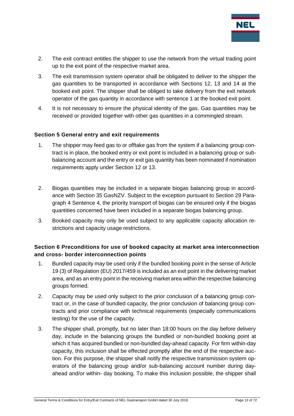

- 2. The exit contract entitles the shipper to use the network from the virtual trading point up to the exit point of the respective market area.
- 3. The exit transmission system operator shall be obligated to deliver to the shipper the gas quantities to be transported in accordance with Sections 12, 13 and 14 at the booked exit point. The shipper shall be obliged to take delivery from the exit network operator of the gas quantity in accordance with sentence 1 at the booked exit point.
- 4. It is not necessary to ensure the physical identity of the gas. Gas quantities may be received or provided together with other gas quantities in a commingled stream.

#### <span id="page-12-0"></span>**Section 5 General entry and exit requirements**

- 1. The shipper may feed gas to or offtake gas from the system if a balancing group contract is in place, the booked entry or exit point is included in a balancing group or subbalancing account and the entry or exit gas quantity has been nominated if nomination requirements apply under Section 12 or 13.
- 2. Biogas quantities may be included in a separate biogas balancing group in accordance with Section 35 GasNZV. Subject to the exception pursuant to Section 29 Paragraph 4 Sentence 4, the priority transport of biogas can be ensured only if the biogas quantities concerned have been included in a separate biogas balancing group.
- 3. Booked capacity may only be used subject to any applicable capacity allocation restrictions and capacity usage restrictions.

# <span id="page-12-1"></span>**Section 6 Preconditions for use of booked capacity at market area interconnection and cross- border interconnection points**

- 1. Bundled capacity may be used only if the bundled booking point in the sense of Article 19 (3) of Regulation (EU) 2017/459 is included as an exit point in the delivering market area, and as an entry point in the receiving market area within the respective balancing groups formed.
- 2. Capacity may be used only subject to the prior conclusion of a balancing group contract or, in the case of bundled capacity, the prior conclusion of balancing group contracts and prior compliance with technical requirements (especially communications testing) for the use of the capacity.
- 3. The shipper shall, promptly, but no later than 18:00 hours on the day before delivery day, include in the balancing groups the bundled or non-bundled booking point at which it has acquired bundled or non-bundled day-ahead capacity. For firm within-day capacity, this inclusion shall be effected promptly after the end of the respective auction. For this purpose, the shipper shall notify the respective transmission system operators of the balancing group and/or sub-balancing account number during dayahead and/or within- day booking. To make this inclusion possible, the shipper shall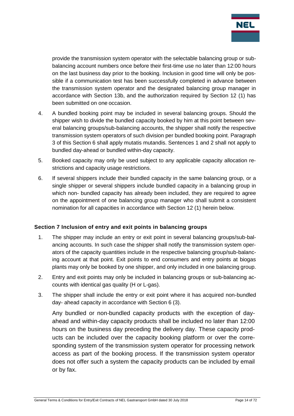

provide the transmission system operator with the selectable balancing group or subbalancing account numbers once before their first-time use no later than 12:00 hours on the last business day prior to the booking. Inclusion in good time will only be possible if a communication test has been successfully completed in advance between the transmission system operator and the designated balancing group manager in accordance with Section 13b, and the authorization required by Section 12 (1) has been submitted on one occasion.

- 4. A bundled booking point may be included in several balancing groups. Should the shipper wish to divide the bundled capacity booked by him at this point between several balancing groups/sub-balancing accounts, the shipper shall notify the respective transmission system operators of such division per bundled booking point. Paragraph 3 of this Section 6 shall apply mutatis mutandis. Sentences 1 and 2 shall not apply to bundled day-ahead or bundled within-day capacity.
- 5. Booked capacity may only be used subject to any applicable capacity allocation restrictions and capacity usage restrictions.
- 6. If several shippers include their bundled capacity in the same balancing group, or a single shipper or several shippers include bundled capacity in a balancing group in which non- bundled capacity has already been included, they are required to agree on the appointment of one balancing group manager who shall submit a consistent nomination for all capacities in accordance with Section 12 (1) herein below.

## <span id="page-13-0"></span>**Section 7 Inclusion of entry and exit points in balancing groups**

- 1. The shipper may include an entry or exit point in several balancing groups/sub-balancing accounts. In such case the shipper shall notify the transmission system operators of the capacity quantities include in the respective balancing group/sub-balancing account at that point. Exit points to end consumers and entry points at biogas plants may only be booked by one shipper, and only included in one balancing group.
- 2. Entry and exit points may only be included in balancing groups or sub-balancing accounts with identical gas quality (H or L-gas).
- 3. The shipper shall include the entry or exit point where it has acquired non-bundled day- ahead capacity in accordance with Section 6 (3).

Any bundled or non-bundled capacity products with the exception of dayahead and within-day capacity products shall be included no later than 12:00 hours on the business day preceding the delivery day. These capacity products can be included over the capacity booking platform or over the corresponding system of the transmission system operator for processing network access as part of the booking process. If the transmission system operator does not offer such a system the capacity products can be included by email or by fax.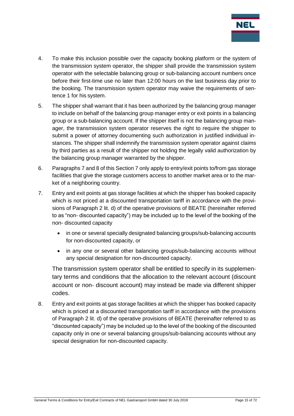

- 4. To make this inclusion possible over the capacity booking platform or the system of the transmission system operator, the shipper shall provide the transmission system operator with the selectable balancing group or sub-balancing account numbers once before their first-time use no later than 12:00 hours on the last business day prior to the booking. The transmission system operator may waive the requirements of sentence 1 for his system.
- 5. The shipper shall warrant that it has been authorized by the balancing group manager to include on behalf of the balancing group manager entry or exit points in a balancing group or a sub-balancing account. If the shipper itself is not the balancing group manager, the transmission system operator reserves the right to require the shipper to submit a power of attorney documenting such authorization in justified individual instances. The shipper shall indemnify the transmission system operator against claims by third parties as a result of the shipper not holding the legally valid authorization by the balancing group manager warranted by the shipper.
- 6. Paragraphs 7 and 8 of this Section 7 only apply to entry/exit points to/from gas storage facilities that give the storage customers access to another market area or to the market of a neighboring country.
- 7. Entry and exit points at gas storage facilities at which the shipper has booked capacity which is not priced at a discounted transportation tariff in accordance with the provisions of Paragraph 2 lit. d) of the operative provisions of BEATE (hereinafter referred to as "non- discounted capacity") may be included up to the level of the booking of the non- discounted capacity
	- in one or several specially designated balancing groups/sub-balancing accounts for non-discounted capacity, or
	- in any one or several other balancing groups/sub-balancing accounts without any special designation for non-discounted capacity.

The transmission system operator shall be entitled to specify in its supplementary terms and conditions that the allocation to the relevant account (discount account or non- discount account) may instead be made via different shipper codes.

8. Entry and exit points at gas storage facilities at which the shipper has booked capacity which is priced at a discounted transportation tariff in accordance with the provisions of Paragraph 2 lit. d) of the operative provisions of BEATE (hereinafter referred to as "discounted capacity") may be included up to the level of the booking of the discounted capacity only in one or several balancing groups/sub-balancing accounts without any special designation for non-discounted capacity.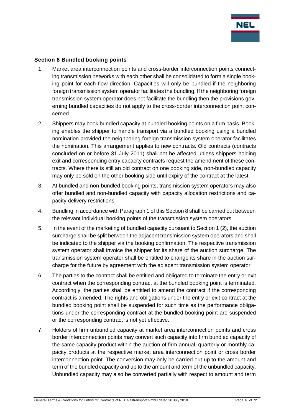

#### <span id="page-15-0"></span>**Section 8 Bundled booking points**

- 1. Market area interconnection points and cross-border interconnection points connecting transmission networks with each other shall be consolidated to form a single booking point for each flow direction. Capacities will only be bundled if the neighboring foreign transmission system operator facilitates the bundling. If the neighboring foreign transmission system operator does not facilitate the bundling then the provisions governing bundled capacities do not apply to the cross-border interconnection point concerned.
- 2. Shippers may book bundled capacity at bundled booking points on a firm basis. Booking enables the shipper to handle transport via a bundled booking using a bundled nomination provided the neighboring foreign transmission system operator facilitates the nomination. This arrangement applies to new contracts. Old contracts (contracts concluded on or before 31 July 2011) shall not be affected unless shippers holding exit and corresponding entry capacity contracts request the amendment of these contracts. Where there is still an old contract on one booking side, non-bundled capacity may only be sold on the other booking side until expiry of the contract at the latest.
- 3. At bundled and non-bundled booking points, transmission system operators may also offer bundled and non-bundled capacity with capacity allocation restrictions and capacity delivery restrictions.
- 4. Bundling in accordance with Paragraph 1 of this Section 8 shall be carried out between the relevant individual booking points of the transmission system operators.
- 5. In the event of the marketing of bundled capacity pursuant to Section 1 (2), the auction surcharge shall be split between the adjacent transmission system operators and shall be indicated to the shipper via the booking confirmation. The respective transmission system operator shall invoice the shipper for its share of the auction surcharge. The transmission system operator shall be entitled to change its share in the auction surcharge for the future by agreement with the adjacent transmission system operator.
- 6. The parties to the contract shall be entitled and obligated to terminate the entry or exit contract when the corresponding contract at the bundled booking point is terminated. Accordingly, the parties shall be entitled to amend the contract if the corresponding contract is amended. The rights and obligations under the entry or exit contract at the bundled booking point shall be suspended for such time as the performance obligations under the corresponding contract at the bundled booking point are suspended or the corresponding contract is not yet effective.
- 7. Holders of firm unbundled capacity at market area interconnection points and cross border interconnection points may convert such capacity into firm bundled capacity of the same capacity product within the auction of firm annual, quarterly or monthly capacity products at the respective market area interconnection point or cross border interconnection point. The conversion may only be carried out up to the amount and term of the bundled capacity and up to the amount and term of the unbundled capacity. Unbundled capacity may also be converted partially with respect to amount and term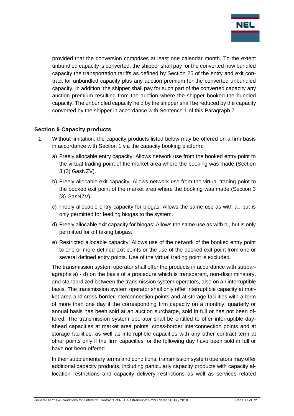

provided that the conversion comprises at least one calendar month. To the extent unbundled capacity is converted, the shipper shall pay for the converted now bundled capacity the transportation tariffs as defined by Section 25 of the entry and exit contract for unbundled capacity plus any auction premium for the converted unbundled capacity. In addition, the shipper shall pay for such part of the converted capacity any auction premium resulting from the auction where the shipper booked the bundled capacity. The unbundled capacity held by the shipper shall be reduced by the capacity converted by the shipper in accordance with Sentence 1 of this Paragraph 7.

## <span id="page-16-0"></span>**Section 9 Capacity products**

- 1. Without limitation, the capacity products listed below may be offered on a firm basis in accordance with Section 1 via the capacity booking platform:
	- a) Freely allocable entry capacity: Allows network use from the booked entry point to the virtual trading point of the market area where the booking was made (Section 3 (3) GasNZV).
	- b) Freely allocable exit capacity: Allows network use from the virtual trading point to the booked exit point of the market area where the booking was made (Section 3 (3) GasNZV).
	- c) Freely allocable entry capacity for biogas: Allows the same use as with a., but is only permitted for feeding biogas to the system.
	- d) Freely allocable exit capacity for biogas: Allows the same use as with b., but is only permitted for off taking biogas.
	- e) Restricted allocable capacity: Allows use of the network of the booked entry point to one or more defined exit points or the use of the booked exit point from one or several defined entry points. Use of the virtual trading point is excluded.

The transmission system operator shall offer the products in accordance with subparagraphs a) - d) on the basis of a procedure which is transparent, non-discriminatory, and standardized between the transmission system operators, also on an interruptible basis. The transmission system operator shall only offer interruptible capacity at market area and cross-border interconnection points and at storage facilities with a term of more than one day if the corresponding firm capacity on a monthly, quarterly or annual basis has been sold at an auction surcharge, sold in full or has not been offered. The transmission system operator shall be entitled to offer interruptible dayahead capacities at market area points, cross-border interconnection points and at storage facilities, as well as interruptible capacities with any other contract term at other points only if the firm capacities for the following day have been sold in full or have not been offered.

In their supplementary terms and conditions, transmission system operators may offer additional capacity products, including particularly capacity products with capacity allocation restrictions and capacity delivery restrictions as well as services related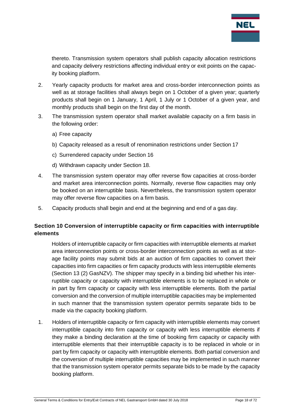

thereto. Transmission system operators shall publish capacity allocation restrictions and capacity delivery restrictions affecting individual entry or exit points on the capacity booking platform.

- 2. Yearly capacity products for market area and cross-border interconnection points as well as at storage facilities shall always begin on 1 October of a given year; quarterly products shall begin on 1 January, 1 April, 1 July or 1 October of a given year, and monthly products shall begin on the first day of the month.
- 3. The transmission system operator shall market available capacity on a firm basis in the following order:
	- a) Free capacity
	- b) Capacity released as a result of renomination restrictions under Section 17
	- c) Surrendered capacity under Section 16
	- d) Withdrawn capacity under Section 18.
- 4. The transmission system operator may offer reverse flow capacities at cross-border and market area interconnection points. Normally, reverse flow capacities may only be booked on an interruptible basis. Nevertheless, the transmission system operator may offer reverse flow capacities on a firm basis.
- <span id="page-17-0"></span>5. Capacity products shall begin and end at the beginning and end of a gas day.

# **Section 10 Conversion of interruptible capacity or firm capacities with interruptible elements**

Holders of interruptible capacity or firm capacities with interruptible elements at market area interconnection points or cross-border interconnection points as well as at storage facility points may submit bids at an auction of firm capacities to convert their capacities into firm capacities or firm capacity products with less interruptible elements (Section 13 (2) GasNZV). The shipper may specify in a binding bid whether his interruptible capacity or capacity with interruptible elements is to be replaced in whole or in part by firm capacity or capacity with less interruptible elements. Both the partial conversion and the conversion of multiple interruptible capacities may be implemented in such manner that the transmission system operator permits separate bids to be made via the capacity booking platform.

1. Holders of interruptible capacity or firm capacity with interruptible elements may convert interruptible capacity into firm capacity or capacity with less interruptible elements if they make a binding declaration at the time of booking firm capacity or capacity with interruptible elements that their interruptible capacity is to be replaced in whole or in part by firm capacity or capacity with interruptible elements. Both partial conversion and the conversion of multiple interruptible capacities may be implemented in such manner that the transmission system operator permits separate bids to be made by the capacity booking platform.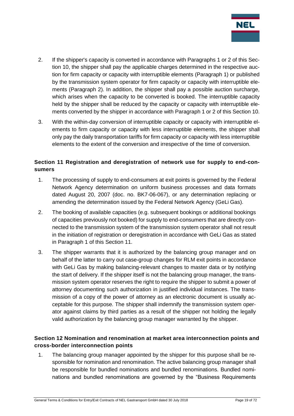

- 2. If the shipper's capacity is converted in accordance with Paragraphs 1 or 2 of this Section 10, the shipper shall pay the applicable charges determined in the respective auction for firm capacity or capacity with interruptible elements (Paragraph 1) or published by the transmission system operator for firm capacity or capacity with interruptible elements (Paragraph 2). In addition, the shipper shall pay a possible auction surcharge, which arises when the capacity to be converted is booked. The interruptible capacity held by the shipper shall be reduced by the capacity or capacity with interruptible elements converted by the shipper in accordance with Paragraph 1 or 2 of this Section 10.
- 3. With the within-day conversion of interruptible capacity or capacity with interruptible elements to firm capacity or capacity with less interruptible elements, the shipper shall only pay the daily transportation tariffs for firm capacity or capacity with less interruptible elements to the extent of the conversion and irrespective of the time of conversion.

# <span id="page-18-0"></span>**Section 11 Registration and deregistration of network use for supply to end-consumers**

- 1. The processing of supply to end-consumers at exit points is governed by the Federal Network Agency determination on uniform business processes and data formats dated August 20, 2007 (doc. no. BK7-06-067), or any determination replacing or amending the determination issued by the Federal Network Agency (GeLi Gas).
- 2. The booking of available capacities (e.g. subsequent bookings or additional bookings of capacities previously not booked) for supply to end-consumers that are directly connected to the transmission system of the transmission system operator shall not result in the initiation of registration or deregistration in accordance with GeLi Gas as stated in Paragraph 1 of this Section 11.
- 3. The shipper warrants that it is authorized by the balancing group manager and on behalf of the latter to carry out case-group changes for RLM exit points in accordance with GeLi Gas by making balancing-relevant changes to master data or by notifying the start of delivery. If the shipper itself is not the balancing group manager, the transmission system operator reserves the right to require the shipper to submit a power of attorney documenting such authorization in justified individual instances. The transmission of a copy of the power of attorney as an electronic document is usually acceptable for this purpose. The shipper shall indemnify the transmission system operator against claims by third parties as a result of the shipper not holding the legally valid authorization by the balancing group manager warranted by the shipper.

# <span id="page-18-1"></span>**Section 12 Nomination and renomination at market area interconnection points and cross-border interconnection points**

1. The balancing group manager appointed by the shipper for this purpose shall be responsible for nomination and renomination. The active balancing group manager shall be responsible for bundled nominations and bundled renominations. Bundled nominations and bundled renominations are governed by the "Business Requirements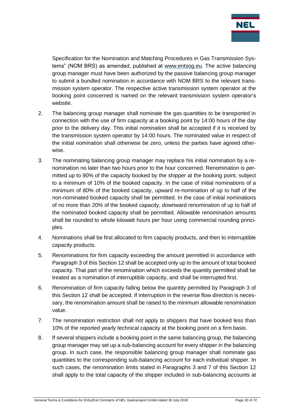

Specification for the Nomination and Matching Procedures in Gas Transmission Systems" (NOM BRS) as amended, published at [www.entsog.eu.](http://www.entsog.eu/) The active balancing group manager must have been authorized by the passive balancing group manager to submit a bundled nomination in accordance with NOM BRS to the relevant transmission system operator. The respective active transmission system operator at the booking point concerned is named on the relevant transmission system operator's website.

- 2. The balancing group manager shall nominate the gas quantities to be transported in connection with the use of firm capacity at a booking point by 14:00 hours of the day prior to the delivery day. This initial nomination shall be accepted if it is received by the transmission system operator by 14:00 hours. The nominated value in respect of the initial nomination shall otherwise be zero, unless the parties have agreed otherwise.
- 3. The nominating balancing group manager may replace his initial nomination by a renomination no later than two hours prior to the hour concerned. Renomination is permitted up to 90% of the capacity booked by the shipper at the booking point, subject to a minimum of 10% of the booked capacity. In the case of initial nominations of a minimum of 80% of the booked capacity, upward re-nomination of up to half of the non-nominated booked capacity shall be permitted. In the case of initial nominations of no more than 20% of the booked capacity, downward renomination of up to half of the nominated booked capacity shall be permitted. Allowable renomination amounts shall be rounded to whole kilowatt hours per hour using commercial rounding principles.
- 4. Nominations shall be first allocated to firm capacity products, and then to interruptible capacity products.
- 5. Renominations for firm capacity exceeding the amount permitted in accordance with Paragraph 3 of this Section 12 shall be accepted only up to the amount of total booked capacity. That part of the renomination which exceeds the quantity permitted shall be treated as a nomination of interruptible capacity, and shall be interrupted first.
- 6. Renomination of firm capacity falling below the quantity permitted by Paragraph 3 of this Section 12 shall be accepted. If interruption in the reverse flow direction is necessary, the renomination amount shall be raised to the minimum allowable renomination value.
- 7. The renomination restriction shall not apply to shippers that have booked less than 10% of the reported yearly technical capacity at the booking point on a firm basis.
- 8. If several shippers include a booking point in the same balancing group, the balancing group manager may set up a sub-balancing account for every shipper in the balancing group. In such case, the responsible balancing group manager shall nominate gas quantities to the corresponding sub-balancing account for each individual shipper. In such cases, the renomination limits stated in Paragraphs 3 and 7 of this Section 12 shall apply to the total capacity of the shipper included in sub-balancing accounts at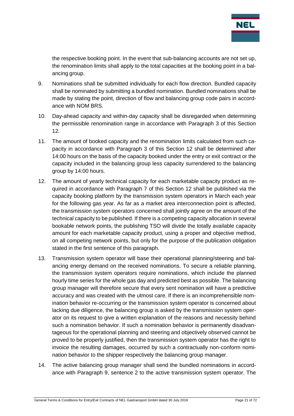

the respective booking point. In the event that sub-balancing accounts are not set up, the renomination limits shall apply to the total capacities at the booking point in a balancing group.

- 9. Nominations shall be submitted individually for each flow direction. Bundled capacity shall be nominated by submitting a bundled nomination. Bundled nominations shall be made by stating the point, direction of flow and balancing group code pairs in accordance with NOM BRS.
- 10. Day-ahead capacity and within-day capacity shall be disregarded when determining the permissible renomination range in accordance with Paragraph 3 of this Section 12.
- 11. The amount of booked capacity and the renomination limits calculated from such capacity in accordance with Paragraph 3 of this Section 12 shall be determined after 14:00 hours on the basis of the capacity booked under the entry or exit contract or the capacity included in the balancing group less capacity surrendered to the balancing group by 14:00 hours.
- 12. The amount of yearly technical capacity for each marketable capacity product as required in accordance with Paragraph 7 of this Section 12 shall be published via the capacity booking platform by the transmission system operators in March each year for the following gas year. As far as a market area interconnection point is affected, the transmission system operators concerned shall jointly agree on the amount of the technical capacity to be published. If there is a competing capacity allocation in several bookable network points, the publishing TSO will divide the totally available capacity amount for each marketable capacity product, using a proper and objective method, on all competing network points, but only for the purpose of the publication obligation stated in the first sentence of this paragraph.
- 13. Transmission system operator will base their operational planning/steering and balancing energy demand on the received nominations. To secure a reliable planning, the transmission system operators require nominations, which include the planned hourly time series for the whole gas day and predicted best as possible. The balancing group manager will therefore secure that every sent nomination will have a predictive accuracy and was created with the utmost care. If there is an incomprehensible nomination behavior re-occurring or the transmission system operator is concerned about lacking due diligence, the balancing group is asked by the transmission system operator on its request to give a written explanation of the reasons and necessity behind such a nomination behavior. If such a nomination behavior is permanently disadvantageous for the operational planning and steering and objectively observed cannot be proved to be properly justified, then the transmission system operator has the right to invoice the resulting damages, occurred by such a contractually non-conform nomination behavior to the shipper respectively the balancing group manager.
- 14. The active balancing group manager shall send the bundled nominations in accordance with Paragraph 9, sentence 2 to the active transmission system operator. The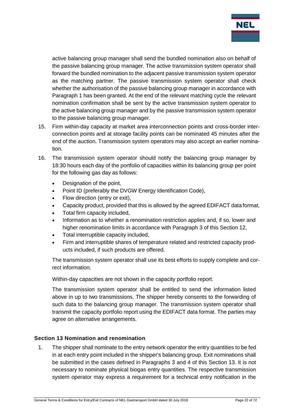

active balancing group manager shall send the bundled nomination also on behalf of the passive balancing group manager. The active transmission system operator shall forward the bundled nomination to the adjacent passive transmission system operator as the matching partner. The passive transmission system operator shall check whether the authorisation of the passive balancing group manager in accordance with Paragraph 1 has been granted. At the end of the relevant matching cycle the relevant nomination confirmation shall be sent by the active transmission system operator to the active balancing group manager and by the passive transmission system operator to the passive balancing group manager.

- 15. Firm within-day capacity at market area interconnection points and cross-border interconnection points and at storage facility points can be nominated 45 minutes after the end of the auction. Transmission system operators may also accept an earlier nomination.
- 16. The transmission system operator should notify the balancing group manager by 18:30 hours each day of the portfolio of capacities within its balancing group per point for the following gas day as follows:
	- Designation of the point,
	- Point ID (preferably the DVGW Energy Identification Code),
	- Flow direction (entry or exit),
	- Capacity product, provided that this is allowed by the agreed EDIFACT data format,
	- Total firm capacity included,
	- Information as to whether a renomination restriction applies and, if so, lower and higher renomination limits in accordance with Paragraph 3 of this Section 12,
	- Total interruptible capacity included,
	- Firm and interruptible shares of temperature related and restricted capacity products included, if such products are offered.

The transmission system operator shall use its best efforts to supply complete and correct information.

Within-day capacities are not shown in the capacity portfolio report.

The transmission system operator shall be entitled to send the information listed above in up to two transmissions. The shipper hereby consents to the forwarding of such data to the balancing group manager. The transmission system operator shall transmit the capacity portfolio report using the EDIFACT data format. The parties may agree on alternative arrangements.

## <span id="page-21-0"></span>**Section 13 Nomination and renomination**

1. The shipper shall nominate to the entry network operator the entry quantities to be fed in at each entry point included in the shipper's balancing group. Exit nominations shall be submitted in the cases defined in Paragraphs 3 and 4 of this Section 13. It is not necessary to nominate physical biogas entry quantities. The respective transmission system operator may express a requirement for a technical entry notification in the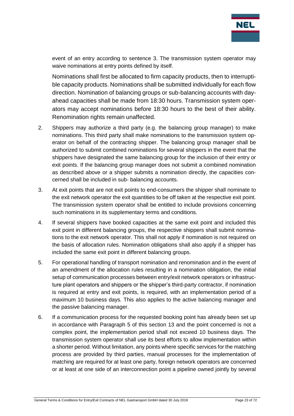

event of an entry according to sentence 3. The transmission system operator may waive nominations at entry points defined by itself.

Nominations shall first be allocated to firm capacity products, then to interruptible capacity products. Nominations shall be submitted individually for each flow direction. Nomination of balancing groups or sub-balancing accounts with dayahead capacities shall be made from 18:30 hours. Transmission system operators may accept nominations before 18:30 hours to the best of their ability. Renomination rights remain unaffected.

- 2. Shippers may authorize a third party (e.g. the balancing group manager) to make nominations. This third party shall make nominations to the transmission system operator on behalf of the contracting shipper. The balancing group manager shall be authorized to submit combined nominations for several shippers in the event that the shippers have designated the same balancing group for the inclusion of their entry or exit points. If the balancing group manager does not submit a combined nomination as described above or a shipper submits a nomination directly, the capacities concerned shall be included in sub- balancing accounts.
- 3. At exit points that are not exit points to end-consumers the shipper shall nominate to the exit network operator the exit quantities to be off taken at the respective exit point. The transmission system operator shall be entitled to include provisions concerning such nominations in its supplementary terms and conditions.
- 4. If several shippers have booked capacities at the same exit point and included this exit point in different balancing groups, the respective shippers shall submit nominations to the exit network operator. This shall not apply if nomination is not required on the basis of allocation rules. Nomination obligations shall also apply if a shipper has included the same exit point in different balancing groups.
- 5. For operational handling of transport nomination and renomination and in the event of an amendment of the allocation rules resulting in a nomination obligation, the initial setup of communication processes between entry/exit network operators or infrastructure plant operators and shippers or the shipper's third-party contractor, if nomination is required at entry and exit points, is required, with an implementation period of a maximum 10 business days. This also applies to the active balancing manager and the passive balancing manager.
- 6. If a communication process for the requested booking point has already been set up in accordance with Paragraph 5 of this section 13 and the point concerned is not a complex point, the implementation period shall not exceed 10 business days. The transmission system operator shall use its best efforts to allow implementation within a shorter period. Without limitation, any points where specific services for the matching process are provided by third parties, manual processes for the implementation of matching are required for at least one party, foreign network operators are concerned or at least at one side of an interconnection point a pipeline owned jointly by several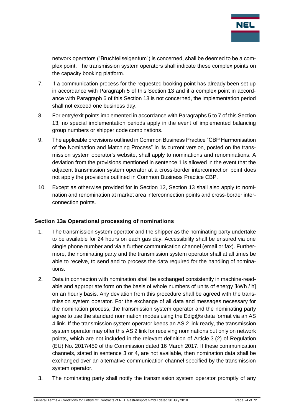

network operators ("Bruchteilseigentum") is concerned, shall be deemed to be a complex point. The transmission system operators shall indicate these complex points on the capacity booking platform.

- 7. If a communication process for the requested booking point has already been set up in accordance with Paragraph 5 of this Section 13 and if a complex point in accordance with Paragraph 6 of this Section 13 is not concerned, the implementation period shall not exceed one business day.
- 8. For entry/exit points implemented in accordance with Paragraphs 5 to 7 of this Section 13, no special implementation periods apply in the event of implemented balancing group numbers or shipper code combinations.
- 9. The applicable provisions outlined in Common Business Practice "CBP Harmonisation of the Nomination and Matching Process" in its current version, posted on the transmission system operator's website, shall apply to nominations and renominations. A deviation from the provisions mentioned in sentence 1 is allowed in the event that the adjacent transmission system operator at a cross-border interconnection point does not apply the provisions outlined in Common Business Practice CBP.
- 10. Except as otherwise provided for in Section 12, Section 13 shall also apply to nomination and renomination at market area interconnection points and cross-border interconnection points.

## <span id="page-23-0"></span>**Section 13a Operational processing of nominations**

- 1. The transmission system operator and the shipper as the nominating party undertake to be available for 24 hours on each gas day. Accessibility shall be ensured via one single phone number and via a further communication channel (email or fax). Furthermore, the nominating party and the transmission system operator shall at all times be able to receive, to send and to process the data required for the handling of nominations.
- 2. Data in connection with nomination shall be exchanged consistently in machine-readable and appropriate form on the basis of whole numbers of units of energy [kWh / h] on an hourly basis. Any deviation from this procedure shall be agreed with the transmission system operator. For the exchange of all data and messages necessary for the nomination process, the transmission system operator and the nominating party agree to use the standard nomination modes using the Edig@s data format via an AS 4 link. If the transmission system operator keeps an AS 2 link ready, the transmission system operator may offer this AS 2 link for receiving nominations but only on network points, which are not included in the relevant definition of Article 3 (2) of Regulation (EU) No. 2017/459 of the Commission dated 16 March 2017. If these communication channels, stated in sentence 3 or 4, are not available, then nomination data shall be exchanged over an alternative communication channel specified by the transmission system operator.
- 3. The nominating party shall notify the transmission system operator promptly of any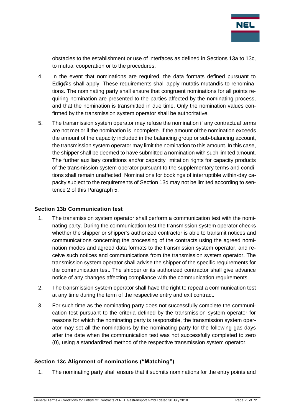

obstacles to the establishment or use of interfaces as defined in Sections 13a to 13c, to mutual cooperation or to the procedures.

- 4. In the event that nominations are required, the data formats defined pursuant to Edig@s shall apply. These requirements shall apply mutatis mutandis to renominations. The nominating party shall ensure that congruent nominations for all points requiring nomination are presented to the parties affected by the nominating process, and that the nomination is transmitted in due time. Only the nomination values confirmed by the transmission system operator shall be authoritative.
- 5. The transmission system operator may refuse the nomination if any contractual terms are not met or if the nomination is incomplete. If the amount of the nomination exceeds the amount of the capacity included in the balancing group or sub-balancing account, the transmission system operator may limit the nomination to this amount. In this case, the shipper shall be deemed to have submitted a nomination with such limited amount. The further auxiliary conditions and/or capacity limitation rights for capacity products of the transmission system operator pursuant to the supplementary terms and conditions shall remain unaffected. Nominations for bookings of interruptible within-day capacity subject to the requirements of Section 13d may not be limited according to sentence 2 of this Paragraph 5.

#### <span id="page-24-0"></span>**Section 13b Communication test**

- 1. The transmission system operator shall perform a communication test with the nominating party. During the communication test the transmission system operator checks whether the shipper or shipper's authorized contractor is able to transmit notices and communications concerning the processing of the contracts using the agreed nomination modes and agreed data formats to the transmission system operator, and receive such notices and communications from the transmission system operator. The transmission system operator shall advise the shipper of the specific requirements for the communication test. The shipper or its authorized contractor shall give advance notice of any changes affecting compliance with the communication requirements.
- 2. The transmission system operator shall have the right to repeat a communication test at any time during the term of the respective entry and exit contract.
- 3. For such time as the nominating party does not successfully complete the communication test pursuant to the criteria defined by the transmission system operator for reasons for which the nominating party is responsible, the transmission system operator may set all the nominations by the nominating party for the following gas days after the date when the communication test was not successfully completed to zero (0), using a standardized method of the respective transmission system operator.

## <span id="page-24-1"></span>**Section 13c Alignment of nominations ("Matching")**

1. The nominating party shall ensure that it submits nominations for the entry points and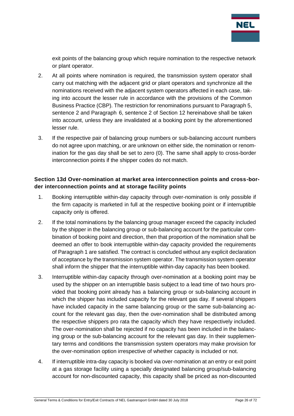

exit points of the balancing group which require nomination to the respective network or plant operator.

- 2. At all points where nomination is required, the transmission system operator shall carry out matching with the adjacent grid or plant operators and synchronize all the nominations received with the adjacent system operators affected in each case, taking into account the lesser rule in accordance with the provisions of the Common Business Practice (CBP). The restriction for renominations pursuant to Paragraph 5, sentence 2 and Paragraph 6, sentence 2 of Section 12 hereinabove shall be taken into account, unless they are invalidated at a booking point by the aforementioned lesser rule.
- 3. If the respective pair of balancing group numbers or sub-balancing account numbers do not agree upon matching, or are unknown on either side, the nomination or renomination for the gas day shall be set to zero (0). The same shall apply to cross-border interconnection points if the shipper codes do not match.

# <span id="page-25-0"></span>**Section 13d Over-nomination at market area interconnection points and cross-border interconnection points and at storage facility points**

- 1. Booking interruptible within-day capacity through over-nomination is only possible if the firm capacity is marketed in full at the respective booking point or if interruptible capacity only is offered.
- 2. If the total nominations by the balancing group manager exceed the capacity included by the shipper in the balancing group or sub-balancing account for the particular combination of booking point and direction, then that proportion of the nomination shall be deemed an offer to book interruptible within-day capacity provided the requirements of Paragraph 1 are satisfied. The contract is concluded without any explicit declaration of acceptance by the transmission system operator. The transmission system operator shall inform the shipper that the interruptible within-day capacity has been booked.
- 3. Interruptible within-day capacity through over-nomination at a booking point may be used by the shipper on an interruptible basis subject to a lead time of two hours provided that booking point already has a balancing group or sub-balancing account in which the shipper has included capacity for the relevant gas day. If several shippers have included capacity in the same balancing group or the same sub-balancing account for the relevant gas day, then the over-nomination shall be distributed among the respective shippers pro rata the capacity which they have respectively included. The over-nomination shall be rejected if no capacity has been included in the balancing group or the sub-balancing account for the relevant gas day. In their supplementary terms and conditions the transmission system operators may make provision for the over-nomination option irrespective of whether capacity is included or not.
- 4. If interruptible intra-day capacity is booked via over-nomination at an entry or exit point at a gas storage facility using a specially designated balancing group/sub-balancing account for non-discounted capacity, this capacity shall be priced as non-discounted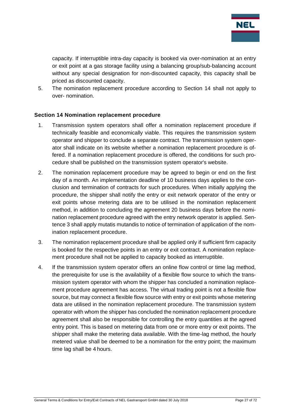

capacity. If interruptible intra-day capacity is booked via over-nomination at an entry or exit point at a gas storage facility using a balancing group/sub-balancing account without any special designation for non-discounted capacity, this capacity shall be priced as discounted capacity.

5. The nomination replacement procedure according to Section 14 shall not apply to over- nomination.

#### <span id="page-26-0"></span>**Section 14 Nomination replacement procedure**

- 1. Transmission system operators shall offer a nomination replacement procedure if technically feasible and economically viable. This requires the transmission system operator and shipper to conclude a separate contract. The transmission system operator shall indicate on its website whether a nomination replacement procedure is offered. If a nomination replacement procedure is offered, the conditions for such procedure shall be published on the transmission system operator's website.
- 2. The nomination replacement procedure may be agreed to begin or end on the first day of a month. An implementation deadline of 10 business days applies to the conclusion and termination of contracts for such procedures. When initially applying the procedure, the shipper shall notify the entry or exit network operator of the entry or exit points whose metering data are to be utilised in the nomination replacement method, in addition to concluding the agreement 20 business days before the nomination replacement procedure agreed with the entry network operator is applied. Sentence 3 shall apply mutatis mutandis to notice of termination of application of the nomination replacement procedure.
- 3. The nomination replacement procedure shall be applied only if sufficient firm capacity is booked for the respective points in an entry or exit contract. A nomination replacement procedure shall not be applied to capacity booked as interruptible.
- 4. If the transmission system operator offers an online flow control or time lag method, the prerequisite for use is the availability of a flexible flow source to which the transmission system operator with whom the shipper has concluded a nomination replacement procedure agreement has access. The virtual trading point is not a flexible flow source, but may connect a flexible flow source with entry or exit points whose metering data are utilised in the nomination replacement procedure. The transmission system operator with whom the shipper has concluded the nomination replacement procedure agreement shall also be responsible for controlling the entry quantities at the agreed entry point. This is based on metering data from one or more entry or exit points. The shipper shall make the metering data available. With the time-lag method, the hourly metered value shall be deemed to be a nomination for the entry point; the maximum time lag shall be 4 hours.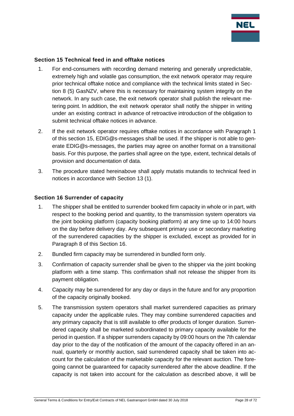

#### <span id="page-27-0"></span>**Section 15 Technical feed in and offtake notices**

- 1. For end-consumers with recording demand metering and generally unpredictable, extremely high and volatile gas consumption, the exit network operator may require prior technical offtake notice and compliance with the technical limits stated in Section 8 (5) GasNZV, where this is necessary for maintaining system integrity on the network. In any such case, the exit network operator shall publish the relevant metering point. In addition, the exit network operator shall notify the shipper in writing under an existing contract in advance of retroactive introduction of the obligation to submit technical offtake notices in advance.
- 2. If the exit network operator requires offtake notices in accordance with Paragraph 1 of this section 15, EDIG@s-messages shall be used. If the shipper is not able to generate EDIG@s-messages, the parties may agree on another format on a transitional basis. For this purpose, the parties shall agree on the type, extent, technical details of provision and documentation of data.
- 3. The procedure stated hereinabove shall apply mutatis mutandis to technical feed in notices in accordance with Section 13 (1).

#### <span id="page-27-1"></span>**Section 16 Surrender of capacity**

- 1. The shipper shall be entitled to surrender booked firm capacity in whole or in part, with respect to the booking period and quantity, to the transmission system operators via the joint booking platform (capacity booking platform) at any time up to 14:00 hours on the day before delivery day. Any subsequent primary use or secondary marketing of the surrendered capacities by the shipper is excluded, except as provided for in Paragraph 8 of this Section 16.
- 2. Bundled firm capacity may be surrendered in bundled form only.
- 3. Confirmation of capacity surrender shall be given to the shipper via the joint booking platform with a time stamp. This confirmation shall not release the shipper from its payment obligation.
- 4. Capacity may be surrendered for any day or days in the future and for any proportion of the capacity originally booked.
- 5. The transmission system operators shall market surrendered capacities as primary capacity under the applicable rules. They may combine surrendered capacities and any primary capacity that is still available to offer products of longer duration. Surrendered capacity shall be marketed subordinated to primary capacity available for the period in question. If a shipper surrenders capacity by 09:00 hours on the 7th calendar day prior to the day of the notification of the amount of the capacity offered in an annual, quarterly or monthly auction, said surrendered capacity shall be taken into account for the calculation of the marketable capacity for the relevant auction. The foregoing cannot be guaranteed for capacity surrendered after the above deadline. If the capacity is not taken into account for the calculation as described above, it will be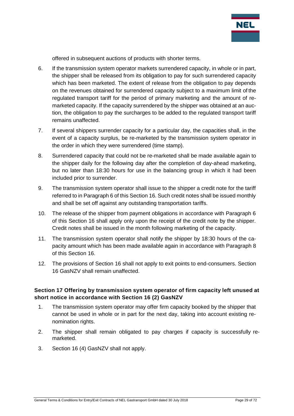

offered in subsequent auctions of products with shorter terms.

- 6. If the transmission system operator markets surrendered capacity, in whole or in part, the shipper shall be released from its obligation to pay for such surrendered capacity which has been marketed. The extent of release from the obligation to pay depends on the revenues obtained for surrendered capacity subject to a maximum limit of the regulated transport tariff for the period of primary marketing and the amount of remarketed capacity. If the capacity surrendered by the shipper was obtained at an auction, the obligation to pay the surcharges to be added to the regulated transport tariff remains unaffected.
- 7. If several shippers surrender capacity for a particular day, the capacities shall, in the event of a capacity surplus, be re-marketed by the transmission system operator in the order in which they were surrendered (time stamp).
- 8. Surrendered capacity that could not be re-marketed shall be made available again to the shipper daily for the following day after the completion of day-ahead marketing, but no later than 18:30 hours for use in the balancing group in which it had been included prior to surrender.
- 9. The transmission system operator shall issue to the shipper a credit note for the tariff referred to in Paragraph 6 of this Section 16. Such credit notes shall be issued monthly and shall be set off against any outstanding transportation tariffs.
- 10. The release of the shipper from payment obligations in accordance with Paragraph 6 of this Section 16 shall apply only upon the receipt of the credit note by the shipper. Credit notes shall be issued in the month following marketing of the capacity.
- 11. The transmission system operator shall notify the shipper by 18:30 hours of the capacity amount which has been made available again in accordance with Paragraph 8 of this Section 16.
- 12. The provisions of Section 16 shall not apply to exit points to end-consumers. Section 16 GasNZV shall remain unaffected.

## <span id="page-28-0"></span>**Section 17 Offering by transmission system operator of firm capacity left unused at short notice in accordance with Section 16 (2) GasNZV**

- 1. The transmission system operator may offer firm capacity booked by the shipper that cannot be used in whole or in part for the next day, taking into account existing renomination rights.
- 2. The shipper shall remain obligated to pay charges if capacity is successfully remarketed.
- 3. Section 16 (4) GasNZV shall not apply.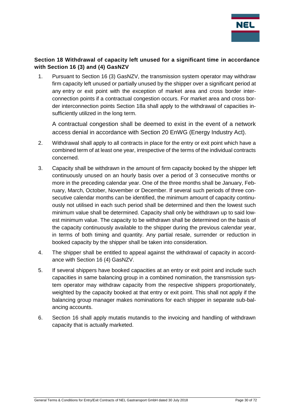

# <span id="page-29-0"></span>**Section 18 Withdrawal of capacity left unused for a significant time in accordance with Section 16 (3) and (4) GasNZV**

1. Pursuant to Section 16 (3) GasNZV, the transmission system operator may withdraw firm capacity left unused or partially unused by the shipper over a significant period at any entry or exit point with the exception of market area and cross border interconnection points if a contractual congestion occurs. For market area and cross border interconnection points Section 18a shall apply to the withdrawal of capacities insufficiently utilized in the long term.

A contractual congestion shall be deemed to exist in the event of a network access denial in accordance with Section 20 EnWG (Energy Industry Act).

- 2. Withdrawal shall apply to all contracts in place for the entry or exit point which have a combined term of at least one year, irrespective of the terms of the individual contracts concerned.
- 3. Capacity shall be withdrawn in the amount of firm capacity booked by the shipper left continuously unused on an hourly basis over a period of 3 consecutive months or more in the preceding calendar year. One of the three months shall be January, February, March, October, November or December. If several such periods of three consecutive calendar months can be identified, the minimum amount of capacity continuously not utilised in each such period shall be determined and then the lowest such minimum value shall be determined. Capacity shall only be withdrawn up to said lowest minimum value. The capacity to be withdrawn shall be determined on the basis of the capacity continuously available to the shipper during the previous calendar year, in terms of both timing and quantity. Any partial resale, surrender or reduction in booked capacity by the shipper shall be taken into consideration.
- 4. The shipper shall be entitled to appeal against the withdrawal of capacity in accordance with Section 16 (4) GasNZV.
- 5. If several shippers have booked capacities at an entry or exit point and include such capacities in same balancing group in a combined nomination, the transmission system operator may withdraw capacity from the respective shippers proportionately, weighted by the capacity booked at that entry or exit point. This shall not apply if the balancing group manager makes nominations for each shipper in separate sub-balancing accounts.
- 6. Section 16 shall apply mutatis mutandis to the invoicing and handling of withdrawn capacity that is actually marketed.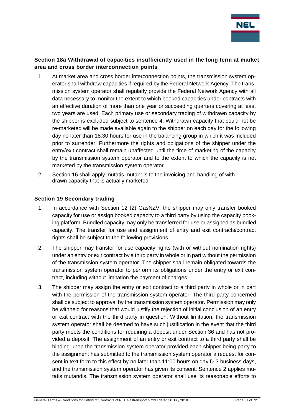

## <span id="page-30-0"></span>**Section 18a Withdrawal of capacities insufficiently used in the long term at market area and cross border interconnection points**

- 1. At market area and cross border interconnection points, the transmission system operator shall withdraw capacities if required by the Federal Network Agency. The transmission system operator shall regularly provide the Federal Network Agency with all data necessary to monitor the extent to which booked capacities under contracts with an effective duration of more than one year or succeeding quarters covering at least two years are used. Each primary use or secondary trading of withdrawn capacity by the shipper is excluded subject to sentence 4. Withdrawn capacity that could not be re-marketed will be made available again to the shipper on each day for the following day no later than 18:30 hours for use in the balancing group in which it was included prior to surrender. Furthermore the rights and obligations of the shipper under the entry/exit contract shall remain unaffected until the time of marketing of the capacity by the transmission system operator and to the extent to which the capacity is not marketed by the transmission system operator.
- 2. Section 16 shall apply mutatis mutandis to the invoicing and handling of withdrawn capacity that is actually marketed.

#### <span id="page-30-1"></span>**Section 19 Secondary trading**

- 1. In accordance with Section 12 (2) GasNZV, the shipper may only transfer booked capacity for use or assign booked capacity to a third party by using the capacity booking platform. Bundled capacity may only be transferred for use or assigned as bundled capacity. The transfer for use and assignment of entry and exit contracts/contract rights shall be subject to the following provisions.
- 2. The shipper may transfer for use capacity rights (with or without nomination rights) under an entry or exit contract by a third party in whole or in part without the permission of the transmission system operator. The shipper shall remain obligated towards the transmission system operator to perform its obligations under the entry or exit contract, including without limitation the payment of charges.
- 3. The shipper may assign the entry or exit contract to a third party in whole or in part with the permission of the transmission system operator. The third party concerned shall be subject to approval by the transmission system operator. Permission may only be withheld for reasons that would justify the rejection of initial conclusion of an entry or exit contract with the third party in question. Without limitation, the transmission system operator shall be deemed to have such justification in the event that the third party meets the conditions for requiring a deposit under Section 36 and has not provided a deposit. The assignment of an entry or exit contract to a third party shall be binding upon the transmission system operator provided each shipper being party to the assignment has submitted to the transmission system operator a request for consent in text form to this effect by no later than 11:00 hours on day D-3 business days, and the transmission system operator has given its consent. Sentence 2 applies mutatis mutandis. The transmission system operator shall use its reasonable efforts to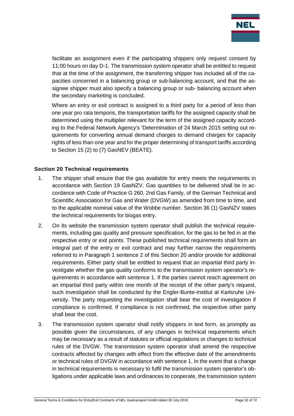

facilitate an assignment even if the participating shippers only request consent by 11:00 hours on day D-1. The transmission system operator shall be entitled to request that at the time of the assignment, the transferring shipper has included all of the capacities concerned in a balancing group or sub-balancing account, and that the assignee shipper must also specify a balancing group or sub- balancing account when the secondary marketing is concluded.

Where an entry or exit contract is assigned to a third party for a period of less than one year pro rata temporis, the transportation tariffs for the assigned capacity shall be determined using the multiplier relevant for the term of the assigned capacity according to the Federal Network Agency's 'Determination of 24 March 2015 setting out requirements for converting annual demand charges to demand charges for capacity rights of less than one year and for the proper determining of transport tariffs according to Section 15 (2) to (7) GasNEV (BEATE).

#### <span id="page-31-0"></span>**Section 20 Technical requirements**

- 1. The shipper shall ensure that the gas available for entry meets the requirements in accordance with Section 19 GasNZV. Gas quantities to be delivered shall be in accordance with Code of Practice G 260, 2nd Gas Family, of the German Technical and Scientific Association for Gas and Water (DVGW) as amended from time to time, and to the applicable nominal value of the Wobbe number. Section 36 (1) GasNZV states the technical requirements for biogas entry.
- 2. On its website the transmission system operator shall publish the technical requirements, including gas quality and pressure specification, for the gas to be fed in at the respective entry or exit points. These published technical requirements shall form an integral part of the entry or exit contract and may further narrow the requirements referred to in Paragraph 1 sentence 2 of this Section 20 and/or provide for additional requirements. Either party shall be entitled to request that an impartial third party investigate whether the gas quality conforms to the transmission system operator's requirements in accordance with sentence 1. If the parties cannot reach agreement on an impartial third party within one month of the receipt of the other party's request, such investigation shall be conducted by the Engler-Bunte-Institut at Karlsruhe University. The party requesting the investigation shall bear the cost of investigation if compliance is confirmed. If compliance is not confirmed, the respective other party shall bear the cost.
- 3. The transmission system operator shall notify shippers in text form, as promptly as possible given the circumstances, of any changes in technical requirements which may be necessary as a result of statutes or official regulations or changes to technical rules of the DVGW. The transmission system operator shall amend the respective contracts affected by changes with effect from the effective date of the amendments or technical rules of DVGW in accordance with sentence 1. In the event that a change in technical requirements is necessary to fulfil the transmission system operator's obligations under applicable laws and ordinances to cooperate, the transmission system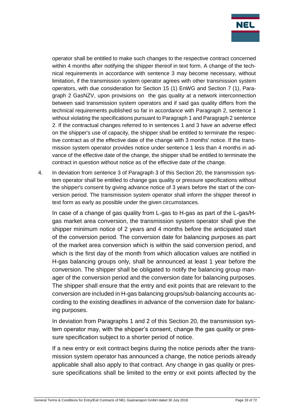

operator shall be entitled to make such changes to the respective contract concerned within 4 months after notifying the shipper thereof in text form. A change of the technical requirements in accordance with sentence 3 may become necessary, without limitation, if the transmission system operator agrees with other transmission system operators, with due consideration for Section 15 (1) EnWG and Section 7 (1), Paragraph 2 GasNZV, upon provisions on the gas quality at a network interconnection between said transmission system operators and if said gas quality differs from the technical requirements published so far in accordance with Paragraph 2, sentence 1 without violating the specifications pursuant to Paragraph 1 and Paragraph 2 sentence 2. If the contractual changes referred to in sentences 1 and 3 have an adverse effect on the shipper's use of capacity, the shipper shall be entitled to terminate the respective contract as of the effective date of the change with 3 months' notice. If the transmission system operator provides notice under sentence 1 less than 4 months in advance of the effective date of the change, the shipper shall be entitled to terminate the contract in question without notice as of the effective date of the change.

4. In deviation from sentence 3 of Paragraph 3 of this Section 20, the transmission system operator shall be entitled to change gas quality or pressure specifications without the shipper's consent by giving advance notice of 3 years before the start of the conversion period. The transmission system operator shall inform the shipper thereof in text form as early as possible under the given circumstances.

In case of a change of gas quality from L-gas to H-gas as part of the L-gas/Hgas market area conversion, the transmission system operator shall give the shipper minimum notice of 2 years and 4 months before the anticipated start of the conversion period. The conversion date for balancing purposes as part of the market area conversion which is within the said conversion period, and which is the first day of the month from which allocation values are notified in H-gas balancing groups only, shall be announced at least 1 year before the conversion. The shipper shall be obligated to notify the balancing group manager of the conversion period and the conversion date for balancing purposes. The shipper shall ensure that the entry and exit points that are relevant to the conversion are included in H-gas balancing groups/sub-balancing accounts according to the existing deadlines in advance of the conversion date for balancing purposes.

In deviation from Paragraphs 1 and 2 of this Section 20, the transmission system operator may, with the shipper's consent, change the gas quality or pressure specification subject to a shorter period of notice.

If a new entry or exit contract begins during the notice periods after the transmission system operator has announced a change, the notice periods already applicable shall also apply to that contract. Any change in gas quality or pressure specifications shall be limited to the entry or exit points affected by the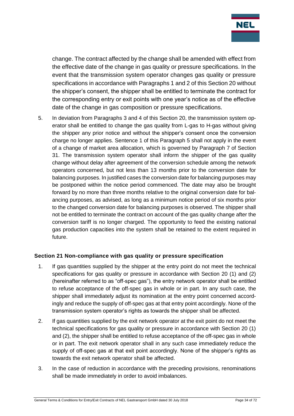

change. The contract affected by the change shall be amended with effect from the effective date of the change in gas quality or pressure specifications. In the event that the transmission system operator changes gas quality or pressure specifications in accordance with Paragraphs 1 and 2 of this Section 20 without the shipper's consent, the shipper shall be entitled to terminate the contract for the corresponding entry or exit points with one year's notice as of the effective date of the change in gas composition or pressure specifications.

5. In deviation from Paragraphs 3 and 4 of this Section 20, the transmission system operator shall be entitled to change the gas quality from L-gas to H-gas without giving the shipper any prior notice and without the shipper's consent once the conversion charge no longer applies. Sentence 1 of this Paragraph 5 shall not apply in the event of a change of market area allocation, which is governed by Paragraph 7 of Section 31. The transmission system operator shall inform the shipper of the gas quality change without delay after agreement of the conversion schedule among the network operators concerned, but not less than 13 months prior to the conversion date for balancing purposes. In justified cases the conversion date for balancing purposes may be postponed within the notice period commenced. The date may also be brought forward by no more than three months relative to the original conversion date for balancing purposes, as advised, as long as a minimum notice period of six months prior to the changed conversion date for balancing purposes is observed. The shipper shall not be entitled to terminate the contract on account of the gas quality change after the conversion tariff is no longer charged. The opportunity to feed the existing national gas production capacities into the system shall be retained to the extent required in future.

## <span id="page-33-0"></span>**Section 21 Non-compliance with gas quality or pressure specification**

- 1. If gas quantities supplied by the shipper at the entry point do not meet the technical specifications for gas quality or pressure in accordance with Section 20 (1) and (2) (hereinafter referred to as "off-spec gas"), the entry network operator shall be entitled to refuse acceptance of the off-spec gas in whole or in part. In any such case, the shipper shall immediately adjust its nomination at the entry point concerned accordingly and reduce the supply of off-spec gas at that entry point accordingly. None of the transmission system operator's rights as towards the shipper shall be affected.
- 2. If gas quantities supplied by the exit network operator at the exit point do not meet the technical specifications for gas quality or pressure in accordance with Section 20 (1) and (2), the shipper shall be entitled to refuse acceptance of the off-spec gas in whole or in part. The exit network operator shall in any such case immediately reduce the supply of off-spec gas at that exit point accordingly. None of the shipper's rights as towards the exit network operator shall be affected.
- 3. In the case of reduction in accordance with the preceding provisions, renominations shall be made immediately in order to avoid imbalances.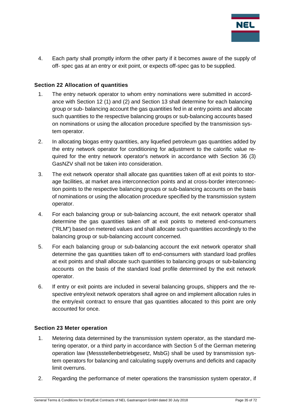

4. Each party shall promptly inform the other party if it becomes aware of the supply of off- spec gas at an entry or exit point, or expects off-spec gas to be supplied.

## <span id="page-34-0"></span>**Section 22 Allocation of quantities**

- 1. The entry network operator to whom entry nominations were submitted in accordance with Section 12 (1) and (2) and Section 13 shall determine for each balancing group or sub- balancing account the gas quantities fed in at entry points and allocate such quantities to the respective balancing groups or sub-balancing accounts based on nominations or using the allocation procedure specified by the transmission system operator.
- 2. In allocating biogas entry quantities, any liquefied petroleum gas quantities added by the entry network operator for conditioning for adjustment to the calorific value required for the entry network operator's network in accordance with Section 36 (3) GasNZV shall not be taken into consideration.
- 3. The exit network operator shall allocate gas quantities taken off at exit points to storage facilities, at market area interconnection points and at cross-border interconnection points to the respective balancing groups or sub-balancing accounts on the basis of nominations or using the allocation procedure specified by the transmission system operator.
- 4. For each balancing group or sub-balancing account, the exit network operator shall determine the gas quantities taken off at exit points to metered end-consumers ("RLM") based on metered values and shall allocate such quantities accordingly to the balancing group or sub-balancing account concerned.
- 5. For each balancing group or sub-balancing account the exit network operator shall determine the gas quantities taken off to end-consumers with standard load profiles at exit points and shall allocate such quantities to balancing groups or sub-balancing accounts on the basis of the standard load profile determined by the exit network operator.
- 6. If entry or exit points are included in several balancing groups, shippers and the respective entry/exit network operators shall agree on and implement allocation rules in the entry/exit contract to ensure that gas quantities allocated to this point are only accounted for once.

#### <span id="page-34-1"></span>**Section 23 Meter operation**

- 1. Metering data determined by the transmission system operator, as the standard metering operator, or a third party in accordance with Section 5 of the German metering operation law (Messstellenbetriebgesetz, MsbG) shall be used by transmission system operators for balancing and calculating supply overruns and deficits and capacity limit overruns.
- 2. Regarding the performance of meter operations the transmission system operator, if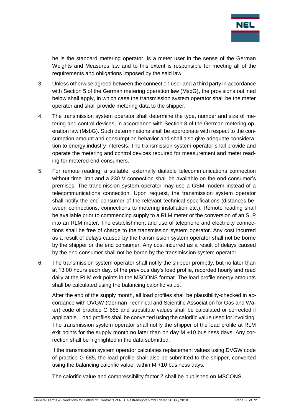

he is the standard metering operator, is a meter user in the sense of the German Weights and Measures law and to this extent is responsible for meeting all of the requirements and obligations imposed by the said law.

- 3. Unless otherwise agreed between the connection user and a third party in accordance with Section 5 of the German metering operation law (MsbG), the provisions outlined below shall apply, in which case the transmission system operator shall be the meter operator and shall provide metering data to the shipper.
- 4. The transmission system operator shall determine the type, number and size of metering and control devices, in accordance with Section 8 of the German metering operation law (MsbG). Such determinations shall be appropriate with respect to the consumption amount and consumption behavior and shall also give adequate consideration to energy industry interests. The transmission system operator shall provide and operate the metering and control devices required for measurement and meter reading for metered end-consumers.
- 5. For remote reading, a suitable, externally dialable telecommunications connection without time limit and a 230 V connection shall be available on the end consumer's premises. The transmission system operator may use a GSM modem instead of a telecommunications connection. Upon request, the transmission system operator shall notify the end consumer of the relevant technical specifications (distances between connections, connections to metering installation etc.). Remote reading shall be available prior to commencing supply to a RLM meter or the conversion of an SLP into an RLM meter. The establishment and use of telephone and electricity connections shall be free of charge to the transmission system operator. Any cost incurred as a result of delays caused by the transmission system operator shall not be borne by the shipper or the end consumer. Any cost incurred as a result of delays caused by the end consumer shall not be borne by the transmission system operator.
- 6. The transmission system operator shall notify the shipper promptly, but no later than at 13:00 hours each day, of the previous day's load profile, recorded hourly and read daily at the RLM exit points in the MSCONS format. The load profile energy amounts shall be calculated using the balancing calorific value.

After the end of the supply month, all load profiles shall be plausibility-checked in accordance with DVGW (German Technical and Scientific Association for Gas and Water) code of practice G 685 and substitute values shall be calculated or corrected if applicable. Load profiles shall be converted using the calorific value used for invoicing. The transmission system operator shall notify the shipper of the load profile at RLM exit points for the supply month no later than on day M +10 business days. Any correction shall be highlighted in the data submitted.

If the transmission system operator calculates replacement values using DVGW code of practice G 685, the load profile shall also be submitted to the shipper, converted using the balancing calorific value, within M +10 business days.

The calorific value and compressibility factor Z shall be published on MSCONS.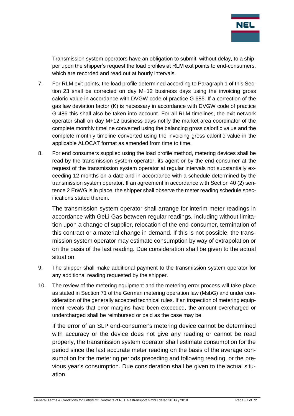

Transmission system operators have an obligation to submit, without delay, to a shipper upon the shipper's request the load profiles at RLM exit points to end-consumers, which are recorded and read out at hourly intervals.

- 7. For RLM exit points, the load profile determined according to Paragraph 1 of this Section 23 shall be corrected on day M+12 business days using the invoicing gross caloric value in accordance with DVGW code of practice G 685. If a correction of the gas law deviation factor (K) is necessary in accordance with DVGW code of practice G 486 this shall also be taken into account. For all RLM timelines, the exit network operator shall on day M+12 business days notify the market area coordinator of the complete monthly timeline converted using the balancing gross calorific value and the complete monthly timeline converted using the invoicing gross calorific value in the applicable ALOCAT format as amended from time to time.
- 8. For end consumers supplied using the load profile method, metering devices shall be read by the transmission system operator, its agent or by the end consumer at the request of the transmission system operator at regular intervals not substantially exceeding 12 months on a date and in accordance with a schedule determined by the transmission system operator. If an agreement in accordance with Section 40 (2) sentence 2 EnWG is in place, the shipper shall observe the meter reading schedule specifications stated therein.

The transmission system operator shall arrange for interim meter readings in accordance with GeLi Gas between regular readings, including without limitation upon a change of supplier, relocation of the end-consumer, termination of this contract or a material change in demand. If this is not possible, the transmission system operator may estimate consumption by way of extrapolation or on the basis of the last reading. Due consideration shall be given to the actual situation.

- 9. The shipper shall make additional payment to the transmission system operator for any additional reading requested by the shipper.
- 10. The review of the metering equipment and the metering error process will take place as stated in Section 71 of the German metering operation law (MsbG) and under consideration of the generally accepted technical rules. If an inspection of metering equipment reveals that error margins have been exceeded, the amount overcharged or undercharged shall be reimbursed or paid as the case may be.

If the error of an SLP end-consumer's metering device cannot be determined with accuracy or the device does not give any reading or cannot be read properly, the transmission system operator shall estimate consumption for the period since the last accurate meter reading on the basis of the average consumption for the metering periods preceding and following reading, or the previous year's consumption. Due consideration shall be given to the actual situation.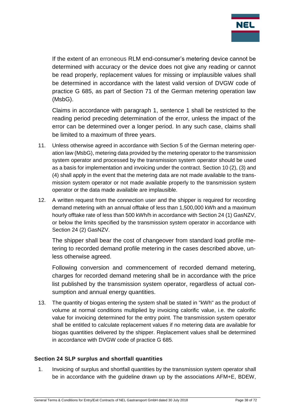

If the extent of an erroneous RLM end-consumer's metering device cannot be determined with accuracy or the device does not give any reading or cannot be read properly, replacement values for missing or implausible values shall be determined in accordance with the latest valid version of DVGW code of practice G 685, as part of Section 71 of the German metering operation law (MsbG).

Claims in accordance with paragraph 1, sentence 1 shall be restricted to the reading period preceding determination of the error, unless the impact of the error can be determined over a longer period. In any such case, claims shall be limited to a maximum of three years.

- 11. Unless otherwise agreed in accordance with Section 5 of the German metering operation law (MsbG), metering data provided by the metering operator to the transmission system operator and processed by the transmission system operator should be used as a basis for implementation and invoicing under the contract. Section 10 (2), (3) and (4) shall apply in the event that the metering data are not made available to the transmission system operator or not made available properly to the transmission system operator or the data made available are implausible.
- 12. A written request from the connection user and the shipper is required for recording demand metering with an annual offtake of less than 1,500,000 kWh and a maximum hourly offtake rate of less than 500 kWh/h in accordance with Section 24 (1) GasNZV, or below the limits specified by the transmission system operator in accordance with Section 24 (2) GasNZV.

The shipper shall bear the cost of changeover from standard load profile metering to recorded demand profile metering in the cases described above, unless otherwise agreed.

Following conversion and commencement of recorded demand metering, charges for recorded demand metering shall be in accordance with the price list published by the transmission system operator, regardless of actual consumption and annual energy quantities.

13. The quantity of biogas entering the system shall be stated in "kWh" as the product of volume at normal conditions multiplied by invoicing calorific value, i.e. the calorific value for invoicing determined for the entry point. The transmission system operator shall be entitled to calculate replacement values if no metering data are available for biogas quantities delivered by the shipper. Replacement values shall be determined in accordance with DVGW code of practice G 685.

## **Section 24 SLP surplus and shortfall quantities**

1. Invoicing of surplus and shortfall quantities by the transmission system operator shall be in accordance with the guideline drawn up by the associations AFM+E, BDEW,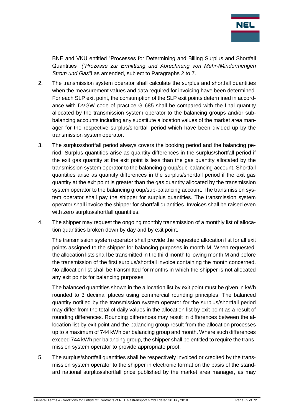

BNE and VKU entitled "Processes for Determining and Billing Surplus and Shortfall Quantities" *("Prozesse zur Ermittlung und Abrechnung von Mehr-/Mindermengen Strom und Gas")* as amended, subject to Paragraphs 2 to 7.

- 2. The transmission system operator shall calculate the surplus and shortfall quantities when the measurement values and data required for invoicing have been determined. For each SLP exit point, the consumption of the SLP exit points determined in accordance with DVGW code of practice G 685 shall be compared with the final quantity allocated by the transmission system operator to the balancing groups and/or subbalancing accounts including any substitute allocation values of the market area manager for the respective surplus/shortfall period which have been divided up by the transmission system operator.
- 3. The surplus/shortfall period always covers the booking period and the balancing period. Surplus quantities arise as quantity differences in the surplus/shortfall period if the exit gas quantity at the exit point is less than the gas quantity allocated by the transmission system operator to the balancing group/sub-balancing account. Shortfall quantities arise as quantity differences in the surplus/shortfall period if the exit gas quantity at the exit point is greater than the gas quantity allocated by the transmission system operator to the balancing group/sub-balancing account. The transmission system operator shall pay the shipper for surplus quantities. The transmission system operator shall invoice the shipper for shortfall quantities. Invoices shall be raised even with zero surplus/shortfall quantities.
- 4. The shipper may request the ongoing monthly transmission of a monthly list of allocation quantities broken down by day and by exit point.

The transmission system operator shall provide the requested allocation list for all exit points assigned to the shipper for balancing purposes in month M. When requested, the allocation lists shall be transmitted in the third month following month M and before the transmission of the first surplus/shortfall invoice containing the month concerned. No allocation list shall be transmitted for months in which the shipper is not allocated any exit points for balancing purposes.

The balanced quantities shown in the allocation list by exit point must be given in kWh rounded to 3 decimal places using commercial rounding principles. The balanced quantity notified by the transmission system operator for the surplus/shortfall period may differ from the total of daily values in the allocation list by exit point as a result of rounding differences. Rounding differences may result in differences between the allocation list by exit point and the balancing group result from the allocation processes up to a maximum of 744 kWh per balancing group and month. Where such differences exceed 744 kWh per balancing group, the shipper shall be entitled to require the transmission system operator to provide appropriate proof.

5. The surplus/shortfall quantities shall be respectively invoiced or credited by the transmission system operator to the shipper in electronic format on the basis of the standard national surplus/shortfall price published by the market area manager, as may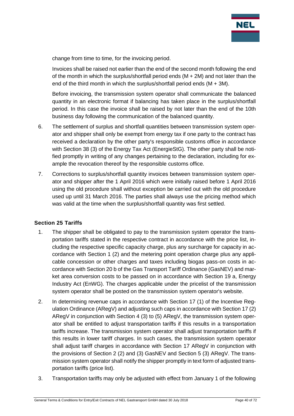

change from time to time, for the invoicing period.

Invoices shall be raised not earlier than the end of the second month following the end of the month in which the surplus/shortfall period ends  $(M + 2M)$  and not later than the end of the third month in which the surplus/shortfall period ends  $(M + 3M)$ .

Before invoicing, the transmission system operator shall communicate the balanced quantity in an electronic format if balancing has taken place in the surplus/shortfall period. In this case the invoice shall be raised by not later than the end of the 10th business day following the communication of the balanced quantity.

- 6. The settlement of surplus and shortfall quantities between transmission system operator and shipper shall only be exempt from energy tax if one party to the contract has received a declaration by the other party's responsible customs office in accordance with Section 38 (3) of the Energy Tax Act (EnergieStG). The other party shall be notified promptly in writing of any changes pertaining to the declaration, including for example the revocation thereof by the responsible customs office.
- 7. Corrections to surplus/shortfall quantity invoices between transmission system operator and shipper after the 1 April 2016 which were initially raised before 1 April 2016 using the old procedure shall without exception be carried out with the old procedure used up until 31 March 2016. The parties shall always use the pricing method which was valid at the time when the surplus/shortfall quantity was first settled.

## **Section 25 Tariffs**

- 1. The shipper shall be obligated to pay to the transmission system operator the transportation tariffs stated in the respective contract in accordance with the price list, including the respective specific capacity charge, plus any surcharge for capacity in accordance with Section 1 (2) and the metering point operation charge plus any applicable concession or other charges and taxes including biogas pass-on costs in accordance with Section 20 b of the Gas Transport Tariff Ordinance (GasNEV) and market area conversion costs to be passed on in accordance with Section 19 a, Energy Industry Act (EnWG). The charges applicable under the pricelist of the transmission system operator shall be posted on the transmission system operator's website.
- 2. In determining revenue caps in accordance with Section 17 (1) of the Incentive Regulation Ordinance (ARegV) and adjusting such caps in accordance with Section 17 (2) ARegV in conjunction with Section 4 (3) to (5) ARegV, the transmission system operator shall be entitled to adjust transportation tariffs if this results in a transportation tariffs increase. The transmission system operator shall adjust transportation tariffs if this results in lower tariff charges. In such cases, the transmission system operator shall adjust tariff charges in accordance with Section 17 ARegV in conjunction with the provisions of Section 2 (2) and (3) GasNEV and Section 5 (3) ARegV. The transmission system operator shall notify the shipper promptly in text form of adjusted transportation tariffs (price list).
- 3. Transportation tariffs may only be adjusted with effect from January 1 of the following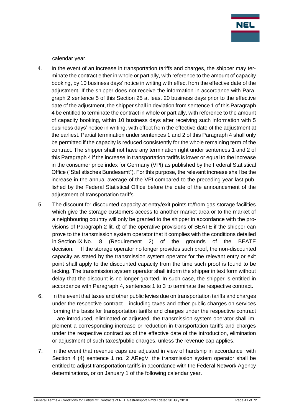

calendar year.

- 4. In the event of an increase in transportation tariffs and charges, the shipper may terminate the contract either in whole or partially, with reference to the amount of capacity booking, by 10 business days' notice in writing with effect from the effective date of the adjustment. If the shipper does not receive the information in accordance with Paragraph 2 sentence 5 of this Section 25 at least 20 business days prior to the effective date of the adjustment, the shipper shall in deviation from sentence 1 of this Paragraph 4 be entitled to terminate the contract in whole or partially, with reference to the amount of capacity booking, within 10 business days after receiving such information with 5 business days' notice in writing, with effect from the effective date of the adjustment at the earliest. Partial termination under sentences 1 and 2 of this Paragraph 4 shall only be permitted if the capacity is reduced consistently for the whole remaining term of the contract. The shipper shall not have any termination right under sentences 1 and 2 of this Paragraph 4 if the increase in transportation tariffs is lower or equal to the increase in the consumer price index for Germany (VPI) as published by the Federal Statistical Office ("Statistisches Bundesamt"). For this purpose, the relevant increase shall be the increase in the annual average of the VPI compared to the preceding year last published by the Federal Statistical Office before the date of the announcement of the adjustment of transportation tariffs.
- 5. The discount for discounted capacity at entry/exit points to/from gas storage facilities which give the storage customers access to another market area or to the market of a neighbouring country will only be granted to the shipper in accordance with the provisions of Paragraph 2 lit. d) of the operative provisions of BEATE if the shipper can prove to the transmission system operator that it complies with the conditions detailed in Section IX No. 8 (Requirement 2) of the grounds of the BEATE decision. If the storage operator no longer provides such proof, the non-discounted capacity as stated by the transmission system operator for the relevant entry or exit point shall apply to the discounted capacity from the time such proof is found to be lacking. The transmission system operator shall inform the shipper in text form without delay that the discount is no longer granted. In such case, the shipper is entitled in accordance with Paragraph 4, sentences 1 to 3 to terminate the respective contract.
- 6. In the event that taxes and other public levies due on transportation tariffs and charges under the respective contract – including taxes and other public charges on services forming the basis for transportation tariffs and charges under the respective contract – are introduced, eliminated or adjusted, the transmission system operator shall implement a corresponding increase or reduction in transportation tariffs and charges under the respective contract as of the effective date of the introduction, elimination or adjustment of such taxes/public charges, unless the revenue cap applies.
- 7. In the event that revenue caps are adjusted in view of hardship in accordance with Section 4 (4) sentence 1 no. 2 ARegV, the transmission system operator shall be entitled to adjust transportation tariffs in accordance with the Federal Network Agency determinations, or on January 1 of the following calendar year.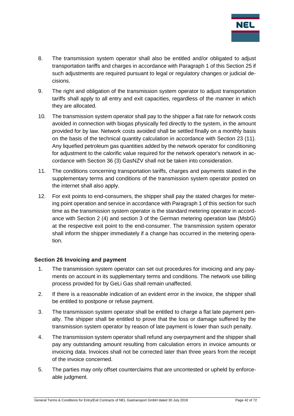

- 8. The transmission system operator shall also be entitled and/or obligated to adjust transportation tariffs and charges in accordance with Paragraph 1 of this Section 25 if such adjustments are required pursuant to legal or regulatory changes or judicial decisions.
- 9. The right and obligation of the transmission system operator to adjust transportation tariffs shall apply to all entry and exit capacities, regardless of the manner in which they are allocated.
- 10. The transmission system operator shall pay to the shipper a flat rate for network costs avoided in connection with biogas physically fed directly to the system, in the amount provided for by law. Network costs avoided shall be settled finally on a monthly basis on the basis of the technical quantity calculation in accordance with Section 23 (11). Any liquefied petroleum gas quantities added by the network operator for conditioning for adjustment to the calorific value required for the network operator's network in accordance with Section 36 (3) GasNZV shall not be taken into consideration.
- 11. The conditions concerning transportation tariffs, charges and payments stated in the supplementary terms and conditions of the transmission system operator posted on the internet shall also apply.
- 12. For exit points to end-consumers, the shipper shall pay the stated charges for metering point operation and service in accordance with Paragraph 1 of this section for such time as the transmission system operator is the standard metering operator in accordance with Section 2 (4) and section 3 of the German metering operation law (MsbG) at the respective exit point to the end-consumer. The transmission system operator shall inform the shipper immediately if a change has occurred in the metering operation.

## **Section 26 Invoicing and payment**

- 1. The transmission system operator can set out procedures for invoicing and any payments on account in its supplementary terms and conditions. The network use billing process provided for by GeLi Gas shall remain unaffected.
- 2. If there is a reasonable indication of an evident error in the invoice, the shipper shall be entitled to postpone or refuse payment.
- 3. The transmission system operator shall be entitled to charge a flat late payment penalty. The shipper shall be entitled to prove that the loss or damage suffered by the transmission system operator by reason of late payment is lower than such penalty.
- 4. The transmission system operator shall refund any overpayment and the shipper shall pay any outstanding amount resulting from calculation errors in invoice amounts or invoicing data. Invoices shall not be corrected later than three years from the receipt of the invoice concerned.
- 5. The parties may only offset counterclaims that are uncontested or upheld by enforceable judgment.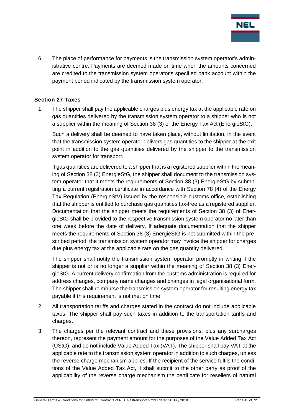

6. The place of performance for payments is the transmission system operator's administrative centre. Payments are deemed made on time when the amounts concerned are credited to the transmission system operator's specified bank account within the payment period indicated by the transmission system operator.

#### **Section 27 Taxes**

1. The shipper shall pay the applicable charges plus energy tax at the applicable rate on gas quantities delivered by the transmission system operator to a shipper who is not a supplier within the meaning of Section 38 (3) of the Energy Tax Act (EnergieStG).

Such a delivery shall be deemed to have taken place, without limitation, in the event that the transmission system operator delivers gas quantities to the shipper at the exit point in addition to the gas quantities delivered by the shipper to the transmission system operator for transport.

If gas quantities are delivered to a shipper that is a registered supplier within the meaning of Section 38 (3) EnergieStG, the shipper shall document to the transmission system operator that it meets the requirements of Section 38 (3) EnergieStG by submitting a current registration certificate in accordance with Section 78 (4) of the Energy Tax Regulation (EnergieStV) issued by the responsible customs office, establishing that the shipper is entitled to purchase gas quantities tax-free as a registered supplier. Documentation that the shipper meets the requirements of Section 38 (3) of EnergieStG shall be provided to the respective transmission system operator no later than one week before the date of delivery. If adequate documentation that the shipper meets the requirements of Section 38 (3) EnergieStG is not submitted within the prescribed period, the transmission system operator may invoice the shipper for charges due plus energy tax at the applicable rate on the gas quantity delivered.

The shipper shall notify the transmission system operator promptly in writing if the shipper is not or is no longer a supplier within the meaning of Section 38 (3) EnergieStG. A current delivery confirmation from the customs administration is required for address changes, company name changes and changes in legal organisational form. The shipper shall reimburse the transmission system operator for resulting energy tax payable if this requirement is not met on time.

- 2. All transportation tariffs and charges stated in the contract do not include applicable taxes. The shipper shall pay such taxes in addition to the transportation tariffs and charges.
- 3. The charges per the relevant contract and these provisions, plus any surcharges thereon, represent the payment amount for the purposes of the Value Added Tax Act (UStG), and do not include Value Added Tax (VAT). The shipper shall pay VAT at the applicable rate to the transmission system operator in addition to such charges, unless the reverse charge mechanism applies. If the recipient of the service fulfils the conditions of the Value Added Tax Act, it shall submit to the other party as proof of the applicability of the reverse charge mechanism the certificate for resellers of natural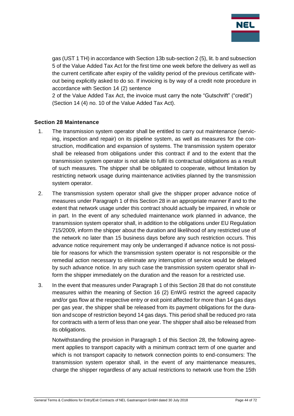

gas (UST 1 TH) in accordance with Section 13b sub-section 2 (5), lit. b and subsection 5 of the Value Added Tax Act for the first time one week before the delivery as well as the current certificate after expiry of the validity period of the previous certificate without being explicitly asked to do so. If invoicing is by way of a credit note procedure in accordance with Section 14 (2) sentence

2 of the Value Added Tax Act, the invoice must carry the note "Gutschrift" ("credit") (Section 14 (4) no. 10 of the Value Added Tax Act).

#### **Section 28 Maintenance**

- 1. The transmission system operator shall be entitled to carry out maintenance (servicing, inspection and repair) on its pipeline system, as well as measures for the construction, modification and expansion of systems. The transmission system operator shall be released from obligations under this contract if and to the extent that the transmission system operator is not able to fulfil its contractual obligations as a result of such measures. The shipper shall be obligated to cooperate, without limitation by restricting network usage during maintenance activities planned by the transmission system operator.
- 2. The transmission system operator shall give the shipper proper advance notice of measures under Paragraph 1 of this Section 28 in an appropriate manner if and to the extent that network usage under this contract should actually be impaired, in whole or in part. In the event of any scheduled maintenance work planned in advance, the transmission system operator shall, in addition to the obligations under EU Regulation 715/2009, inform the shipper about the duration and likelihood of any restricted use of the network no later than 15 business days before any such restriction occurs. This advance notice requirement may only be underranged if advance notice is not possible for reasons for which the transmission system operator is not responsible or the remedial action necessary to eliminate any interruption of service would be delayed by such advance notice. In any such case the transmission system operator shall inform the shipper immediately on the duration and the reason for a restricted use.
- 3. In the event that measures under Paragraph 1 of this Section 28 that do not constitute measures within the meaning of Section 16 (2) EnWG restrict the agreed capacity and/or gas flow at the respective entry or exit point affected for more than 14 gas days per gas year, the shipper shall be released from its payment obligations for the duration and scope of restriction beyond 14 gas days. This period shall be reduced pro rata for contracts with a term of less than one year. The shipper shall also be released from its obligations.

Notwithstanding the provision in Paragraph 1 of this Section 28, the following agreement applies to transport capacity with a minimum contract term of one quarter and which is not transport capacity to network connection points to end-consumers: The transmission system operator shall, in the event of any maintenance measures, charge the shipper regardless of any actual restrictions to network use from the 15th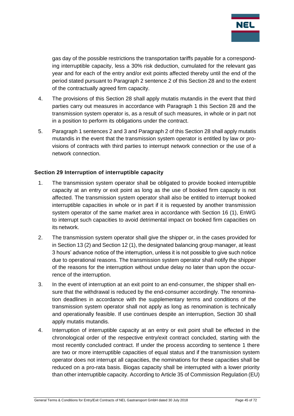

gas day of the possible restrictions the transportation tariffs payable for a corresponding interruptible capacity, less a 30% risk deduction, cumulated for the relevant gas year and for each of the entry and/or exit points affected thereby until the end of the period stated pursuant to Paragraph 2 sentence 2 of this Section 28 and to the extent of the contractually agreed firm capacity.

- 4. The provisions of this Section 28 shall apply mutatis mutandis in the event that third parties carry out measures in accordance with Paragraph 1 this Section 28 and the transmission system operator is, as a result of such measures, in whole or in part not in a position to perform its obligations under the contract.
- 5. Paragraph 1 sentences 2 and 3 and Paragraph 2 of this Section 28 shall apply mutatis mutandis in the event that the transmission system operator is entitled by law or provisions of contracts with third parties to interrupt network connection or the use of a network connection.

### **Section 29 Interruption of interruptible capacity**

- 1. The transmission system operator shall be obligated to provide booked interruptible capacity at an entry or exit point as long as the use of booked firm capacity is not affected. The transmission system operator shall also be entitled to interrupt booked interruptible capacities in whole or in part if it is requested by another transmission system operator of the same market area in accordance with Section 16 (1), EnWG to interrupt such capacities to avoid detrimental impact on booked firm capacities on its network.
- 2. The transmission system operator shall give the shipper or, in the cases provided for in Section 13 (2) and Section 12 (1), the designated balancing group manager, at least 3 hours' advance notice of the interruption, unless it is not possible to give such notice due to operational reasons. The transmission system operator shall notify the shipper of the reasons for the interruption without undue delay no later than upon the occurrence of the interruption.
- 3. In the event of interruption at an exit point to an end-consumer, the shipper shall ensure that the withdrawal is reduced by the end-consumer accordingly. The renomination deadlines in accordance with the supplementary terms and conditions of the transmission system operator shall not apply as long as renomination is technically and operationally feasible. If use continues despite an interruption, Section 30 shall apply mutatis mutandis.
- 4. Interruption of interruptible capacity at an entry or exit point shall be effected in the chronological order of the respective entry/exit contract concluded, starting with the most recently concluded contract. If under the process according to sentence 1 there are two or more interruptible capacities of equal status and if the transmission system operator does not interrupt all capacities, the nominations for these capacities shall be reduced on a pro-rata basis. Biogas capacity shall be interrupted with a lower priority than other interruptible capacity. According to Article 35 of Commission Regulation (EU)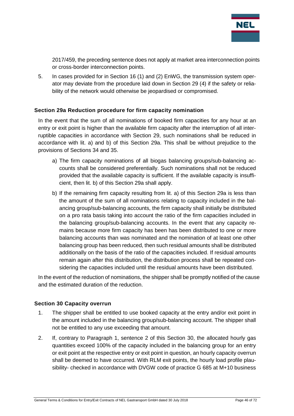

2017/459, the preceding sentence does not apply at market area interconnection points or cross-border interconnection points.

5. In cases provided for in Section 16 (1) and (2) EnWG, the transmission system operator may deviate from the procedure laid down in Section 29 (4) if the safety or reliability of the network would otherwise be jeopardised or compromised.

### **Section 29a Reduction procedure for firm capacity nomination**

In the event that the sum of all nominations of booked firm capacities for any hour at an entry or exit point is higher than the available firm capacity after the interruption of all interruptible capacities in accordance with Section 29, such nominations shall be reduced in accordance with lit. a) and b) of this Section 29a. This shall be without prejudice to the provisions of Sections 34 and 35.

- a) The firm capacity nominations of all biogas balancing groups/sub-balancing accounts shall be considered preferentially. Such nominations shall not be reduced provided that the available capacity is sufficient. If the available capacity is insufficient, then lit. b) of this Section 29a shall apply.
- b) If the remaining firm capacity resulting from lit. a) of this Section 29a is less than the amount of the sum of all nominations relating to capacity included in the balancing group/sub-balancing accounts, the firm capacity shall initially be distributed on a pro rata basis taking into account the ratio of the firm capacities included in the balancing group/sub-balancing accounts. In the event that any capacity remains because more firm capacity has been has been distributed to one or more balancing accounts than was nominated and the nomination of at least one other balancing group has been reduced, then such residual amounts shall be distributed additionally on the basis of the ratio of the capacities included. If residual amounts remain again after this distribution, the distribution process shall be repeated considering the capacities included until the residual amounts have been distributed.

In the event of the reduction of nominations, the shipper shall be promptly notified of the cause and the estimated duration of the reduction.

## **Section 30 Capacity overrun**

- 1. The shipper shall be entitled to use booked capacity at the entry and/or exit point in the amount included in the balancing group/sub-balancing account. The shipper shall not be entitled to any use exceeding that amount.
- 2. If, contrary to Paragraph 1, sentence 2 of this Section 30, the allocated hourly gas quantities exceed 100% of the capacity included in the balancing group for an entry or exit point at the respective entry or exit point in question, an hourly capacity overrun shall be deemed to have occurred. With RLM exit points, the hourly load profile plausibility- checked in accordance with DVGW code of practice G 685 at M+10 business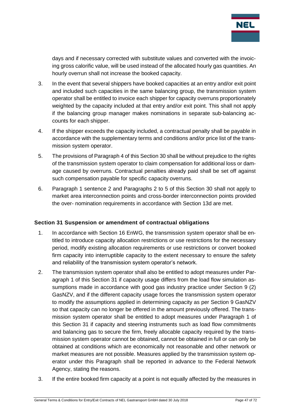

days and if necessary corrected with substitute values and converted with the invoicing gross calorific value, will be used instead of the allocated hourly gas quantities. An hourly overrun shall not increase the booked capacity.

- 3. In the event that several shippers have booked capacities at an entry and/or exit point and included such capacities in the same balancing group, the transmission system operator shall be entitled to invoice each shipper for capacity overruns proportionately weighted by the capacity included at that entry and/or exit point. This shall not apply if the balancing group manager makes nominations in separate sub-balancing accounts for each shipper.
- 4. If the shipper exceeds the capacity included, a contractual penalty shall be payable in accordance with the supplementary terms and conditions and/or price list of the transmission system operator.
- 5. The provisions of Paragraph 4 of this Section 30 shall be without prejudice to the rights of the transmission system operator to claim compensation for additional loss or damage caused by overruns. Contractual penalties already paid shall be set off against such compensation payable for specific capacity overruns.
- 6. Paragraph 1 sentence 2 and Paragraphs 2 to 5 of this Section 30 shall not apply to market area interconnection points and cross-border interconnection points provided the over- nomination requirements in accordance with Section 13d are met.

#### **Section 31 Suspension or amendment of contractual obligations**

- 1. In accordance with Section 16 EnWG, the transmission system operator shall be entitled to introduce capacity allocation restrictions or use restrictions for the necessary period, modify existing allocation requirements or use restrictions or convert booked firm capacity into interruptible capacity to the extent necessary to ensure the safety and reliability of the transmission system operator's network.
- 2. The transmission system operator shall also be entitled to adopt measures under Paragraph 1 of this Section 31 if capacity usage differs from the load flow simulation assumptions made in accordance with good gas industry practice under Section 9 (2) GasNZV, and if the different capacity usage forces the transmission system operator to modify the assumptions applied in determining capacity as per Section 9 GasNZV so that capacity can no longer be offered in the amount previously offered. The transmission system operator shall be entitled to adopt measures under Paragraph 1 of this Section 31 if capacity and steering instruments such as load flow commitments and balancing gas to secure the firm, freely allocable capacity required by the transmission system operator cannot be obtained, cannot be obtained in full or can only be obtained at conditions which are economically not reasonable and other network or market measures are not possible. Measures applied by the transmission system operator under this Paragraph shall be reported in advance to the Federal Network Agency, stating the reasons.
- 3. If the entire booked firm capacity at a point is not equally affected by the measures in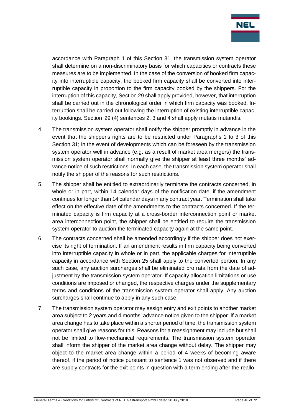

accordance with Paragraph 1 of this Section 31, the transmission system operator shall determine on a non-discriminatory basis for which capacities or contracts these measures are to be implemented. In the case of the conversion of booked firm capacity into interruptible capacity, the booked firm capacity shall be converted into interruptible capacity in proportion to the firm capacity booked by the shippers. For the interruption of this capacity, Section 29 shall apply provided, however, that interruption shall be carried out in the chronological order in which firm capacity was booked. Interruption shall be carried out following the interruption of existing interruptible capacity bookings. Section 29 (4) sentences 2, 3 and 4 shall apply mutatis mutandis.

- 4. The transmission system operator shall notify the shipper promptly in advance in the event that the shipper's rights are to be restricted under Paragraphs 1 to 3 of this Section 31; in the event of developments which can be foreseen by the transmission system operator well in advance (e.g. as a result of market area mergers) the transmission system operator shall normally give the shipper at least three months' advance notice of such restrictions. In each case, the transmission system operator shall notify the shipper of the reasons for such restrictions.
- 5. The shipper shall be entitled to extraordinarily terminate the contracts concerned, in whole or in part, within 14 calendar days of the notification date, if the amendment continues for longer than 14 calendar days in any contract year. Termination shall take effect on the effective date of the amendments to the contracts concerned. If the terminated capacity is firm capacity at a cross-border interconnection point or market area interconnection point, the shipper shall be entitled to require the transmission system operator to auction the terminated capacity again at the same point.
- 6. The contracts concerned shall be amended accordingly if the shipper does not exercise its right of termination. If an amendment results in firm capacity being converted into interruptible capacity in whole or in part, the applicable charges for interruptible capacity in accordance with Section 25 shall apply to the converted portion. In any such case, any auction surcharges shall be eliminated pro rata from the date of adjustment by the transmission system operator. If capacity allocation limitations or use conditions are imposed or changed, the respective charges under the supplementary terms and conditions of the transmission system operator shall apply. Any auction surcharges shall continue to apply in any such case.
- 7. The transmission system operator may assign entry and exit points to another market area subject to 2 years and 4 months' advance notice given to the shipper. If a market area change has to take place within a shorter period of time, the transmission system operator shall give reasons for this. Reasons for a reassignment may include but shall not be limited to flow-mechanical requirements. The transmission system operator shall inform the shipper of the market area change without delay. The shipper may object to the market area change within a period of 4 weeks of becoming aware thereof, if the period of notice pursuant to sentence 1 was not observed and if there are supply contracts for the exit points in question with a term ending after the reallo-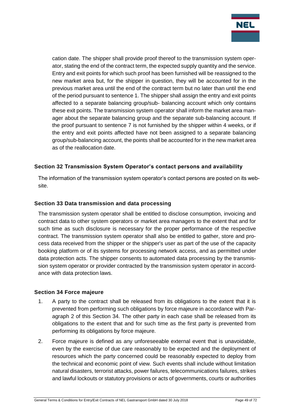

cation date. The shipper shall provide proof thereof to the transmission system operator, stating the end of the contract term, the expected supply quantity and the service. Entry and exit points for which such proof has been furnished will be reassigned to the new market area but, for the shipper in question, they will be accounted for in the previous market area until the end of the contract term but no later than until the end of the period pursuant to sentence 1. The shipper shall assign the entry and exit points affected to a separate balancing group/sub- balancing account which only contains these exit points. The transmission system operator shall inform the market area manager about the separate balancing group and the separate sub-balancing account. If the proof pursuant to sentence 7 is not furnished by the shipper within 4 weeks, or if the entry and exit points affected have not been assigned to a separate balancing group/sub-balancing account, the points shall be accounted for in the new market area as of the reallocation date.

## **Section 32 Transmission System Operator's contact persons and availability**

The information of the transmission system operator's contact persons are posted on its website.

## **Section 33 Data transmission and data processing**

The transmission system operator shall be entitled to disclose consumption, invoicing and contract data to other system operators or market area managers to the extent that and for such time as such disclosure is necessary for the proper performance of the respective contract. The transmission system operator shall also be entitled to gather, store and process data received from the shipper or the shipper's user as part of the use of the capacity booking platform or of its systems for processing network access, and as permitted under data protection acts. The shipper consents to automated data processing by the transmission system operator or provider contracted by the transmission system operator in accordance with data protection laws.

#### **Section 34 Force majeure**

- 1. A party to the contract shall be released from its obligations to the extent that it is prevented from performing such obligations by force majeure in accordance with Paragraph 2 of this Section 34. The other party in each case shall be released from its obligations to the extent that and for such time as the first party is prevented from performing its obligations by force majeure.
- 2. Force majeure is defined as any unforeseeable external event that is unavoidable, even by the exercise of due care reasonably to be expected and the deployment of resources which the party concerned could be reasonably expected to deploy from the technical and economic point of view. Such events shall include without limitation natural disasters, terrorist attacks, power failures, telecommunications failures, strikes and lawful lockouts or statutory provisions or acts of governments, courts or authorities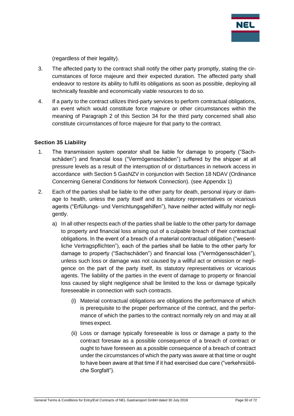

(regardless of their legality).

- 3. The affected party to the contract shall notify the other party promptly, stating the circumstances of force majeure and their expected duration. The affected party shall endeavor to restore its ability to fulfil its obligations as soon as possible, deploying all technically feasible and economically viable resources to do so.
- 4. If a party to the contract utilizes third-party services to perform contractual obligations, an event which would constitute force majeure or other circumstances within the meaning of Paragraph 2 of this Section 34 for the third party concerned shall also constitute circumstances of force majeure for that party to the contract.

## **Section 35 Liability**

- 1. The transmission system operator shall be liable for damage to property ("Sachschäden") and financial loss ("Vermögensschäden") suffered by the shipper at all pressure levels as a result of the interruption of or disturbances in network access in accordance with Section 5 GasNZV in conjunction with Section 18 NDAV (Ordinance Concerning General Conditions for Network Connection). (see Appendix 1)
- 2. Each of the parties shall be liable to the other party for death, personal injury or damage to health, unless the party itself and its statutory representatives or vicarious agents ("Erfüllungs- und Verrichtungsgehilfen"), have neither acted willfully nor negligently.
	- a) In all other respects each of the parties shall be liable to the other party for damage to property and financial loss arising out of a culpable breach of their contractual obligations. In the event of a breach of a material contractual obligation ("wesentliche Vertragspflichten"), each of the parties shall be liable to the other party for damage to property ("Sachschäden") and financial loss ("Vermögensschäden"), unless such loss or damage was not caused by a willful act or omission or negligence on the part of the party itself, its statutory representatives or vicarious agents. The liability of the parties in the event of damage to property or financial loss caused by slight negligence shall be limited to the loss or damage typically foreseeable in connection with such contracts.
		- (i) Material contractual obligations are obligations the performance of which is prerequisite to the proper performance of the contract, and the performance of which the parties to the contract normally rely on and may at all times expect.
		- (ii) Loss or damage typically foreseeable is loss or damage a party to the contract foresaw as a possible consequence of a breach of contract or ought to have foreseen as a possible consequence of a breach of contract under the circumstances of which the party was aware at that time or ought to have been aware at that time if it had exercised due care ("verkehrsübliche Sorgfalt").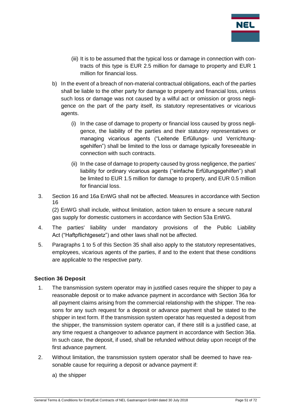

- (iii) It is to be assumed that the typical loss or damage in connection with contracts of this type is EUR 2.5 million for damage to property and EUR 1 million for financial loss.
- b) In the event of a breach of non-material contractual obligations, each of the parties shall be liable to the other party for damage to property and financial loss, unless such loss or damage was not caused by a wilful act or omission or gross negligence on the part of the party itself, its statutory representatives or vicarious agents.
	- (i) In the case of damage to property or financial loss caused by gross negligence, the liability of the parties and their statutory representatives or managing vicarious agents ("Leitende Erfüllungs- und Verrichtungsgehilfen") shall be limited to the loss or damage typically foreseeable in connection with such contracts.
	- (ii) In the case of damage to property caused by gross negligence, the parties' liability for ordinary vicarious agents ("einfache Erfüllungsgehilfen") shall be limited to EUR 1.5 million for damage to property, and EUR 0.5 million for financial loss.
- 3. Section 16 and 16a EnWG shall not be affected. Measures in accordance with Section 16

(2) EnWG shall include, without limitation, action taken to ensure a secure natural gas supply for domestic customers in accordance with Section 53a EnWG.

- 4. The parties' liability under mandatory provisions of the Public Liability Act ("Haftpflichtgesetz") and other laws shall not be affected.
- 5. Paragraphs 1 to 5 of this Section 35 shall also apply to the statutory representatives, employees, vicarious agents of the parties, if and to the extent that these conditions are applicable to the respective party.

## **Section 36 Deposit**

- 1. The transmission system operator may in justified cases require the shipper to pay a reasonable deposit or to make advance payment in accordance with Section 36a for all payment claims arising from the commercial relationship with the shipper. The reasons for any such request for a deposit or advance payment shall be stated to the shipper in text form. If the transmission system operator has requested a deposit from the shipper, the transmission system operator can, if there still is a justified case, at any time request a changeover to advance payment in accordance with Section 36a. In such case, the deposit, if used, shall be refunded without delay upon receipt of the first advance payment.
- 2. Without limitation, the transmission system operator shall be deemed to have reasonable cause for requiring a deposit or advance payment if:
	- a) the shipper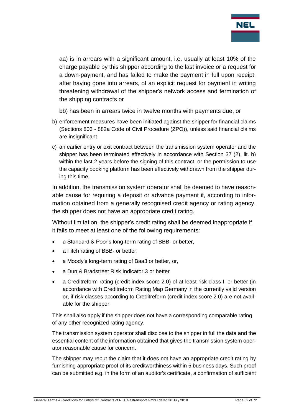

aa) is in arrears with a significant amount, i.e. usually at least 10% of the charge payable by this shipper according to the last invoice or a request for a down-payment, and has failed to make the payment in full upon receipt, after having gone into arrears, of an explicit request for payment in writing threatening withdrawal of the shipper's network access and termination of the shipping contracts or

- bb) has been in arrears twice in twelve months with payments due, or
- b) enforcement measures have been initiated against the shipper for financial claims (Sections 803 - 882a Code of Civil Procedure (ZPO)), unless said financial claims are insignificant
- c) an earlier entry or exit contract between the transmission system operator and the shipper has been terminated effectively in accordance with Section 37 (2), lit. b) within the last 2 years before the signing of this contract, or the permission to use the capacity booking platform has been effectively withdrawn from the shipper during this time.

In addition, the transmission system operator shall be deemed to have reasonable cause for requiring a deposit or advance payment if, according to information obtained from a generally recognised credit agency or rating agency, the shipper does not have an appropriate credit rating.

Without limitation, the shipper's credit rating shall be deemed inappropriate if it fails to meet at least one of the following requirements:

- a Standard & Poor's long-term rating of BBB- or better,
- a Fitch rating of BBB- or better,
- a Moody's long-term rating of Baa3 or better, or,
- a Dun & Bradstreet Risk Indicator 3 or better
- a Creditreform rating (credit index score 2.0) of at least risk class II or better (in accordance with Creditreform Rating Map Germany in the currently valid version or, if risk classes according to Creditreform (credit index score 2.0) are not available for the shipper.

This shall also apply if the shipper does not have a corresponding comparable rating of any other recognized rating agency.

The transmission system operator shall disclose to the shipper in full the data and the essential content of the information obtained that gives the transmission system operator reasonable cause for concern.

The shipper may rebut the claim that it does not have an appropriate credit rating by furnishing appropriate proof of its creditworthiness within 5 business days. Such proof can be submitted e.g. in the form of an auditor's certificate, a confirmation of sufficient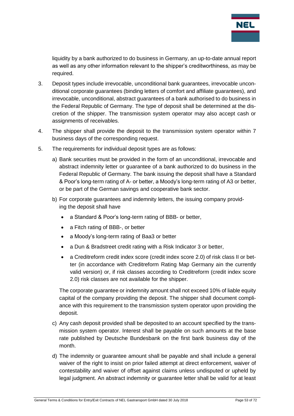

liquidity by a bank authorized to do business in Germany, an up-to-date annual report as well as any other information relevant to the shipper's creditworthiness, as may be required.

- 3. Deposit types include irrevocable, unconditional bank guarantees, irrevocable unconditional corporate guarantees (binding letters of comfort and affiliate guarantees), and irrevocable, unconditional, abstract guarantees of a bank authorised to do business in the Federal Republic of Germany. The type of deposit shall be determined at the discretion of the shipper. The transmission system operator may also accept cash or assignments of receivables.
- 4. The shipper shall provide the deposit to the transmission system operator within 7 business days of the corresponding request.
- 5. The requirements for individual deposit types are as follows:
	- a) Bank securities must be provided in the form of an unconditional, irrevocable and abstract indemnity letter or guarantee of a bank authorized to do business in the Federal Republic of Germany. The bank issuing the deposit shall have a Standard & Poor's long-term rating of A- or better, a Moody's long-term rating of A3 or better, or be part of the German savings and cooperative bank sector.
	- b) For corporate guarantees and indemnity letters, the issuing company providing the deposit shall have
		- a Standard & Poor's long-term rating of BBB- or better,
		- a Fitch rating of BBB-, or better
		- a Moody's long-term rating of Baa3 or better
		- a Dun & Bradstreet credit rating with a Risk Indicator 3 or better,
		- a Creditreform credit index score (credit index score 2.0) of risk class II or better (in accordance with Creditreform Rating Map Germany ain the currently valid version) or, if risk classes according to Creditreform (credit index score 2.0) risk classes are not available for the shipper.

The corporate guarantee or indemnity amount shall not exceed 10% of liable equity capital of the company providing the deposit. The shipper shall document compliance with this requirement to the transmission system operator upon providing the deposit.

- c) Any cash deposit provided shall be deposited to an account specified by the transmission system operator. Interest shall be payable on such amounts at the base rate published by Deutsche Bundesbank on the first bank business day of the month.
- d) The indemnity or guarantee amount shall be payable and shall include a general waiver of the right to insist on prior failed attempt at direct enforcement, waiver of contestability and waiver of offset against claims unless undisputed or upheld by legal judgment. An abstract indemnity or guarantee letter shall be valid for at least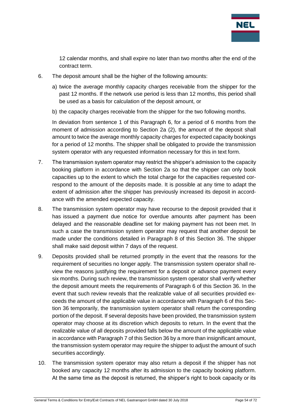

12 calendar months, and shall expire no later than two months after the end of the contract term.

- 6. The deposit amount shall be the higher of the following amounts:
	- a) twice the average monthly capacity charges receivable from the shipper for the past 12 months. If the network use period is less than 12 months, this period shall be used as a basis for calculation of the deposit amount, or
	- b) the capacity charges receivable from the shipper for the two following months.

In deviation from sentence 1 of this Paragraph 6, for a period of 6 months from the moment of admission according to Section 2a (2), the amount of the deposit shall amount to twice the average monthly capacity charges for expected capacity bookings for a period of 12 months. The shipper shall be obligated to provide the transmission system operator with any requested information necessary for this in text form.

- 7. The transmission system operator may restrict the shipper's admission to the capacity booking platform in accordance with Section 2a so that the shipper can only book capacities up to the extent to which the total charge for the capacities requested correspond to the amount of the deposits made. It is possible at any time to adapt the extent of admission after the shipper has previously increased its deposit in accordance with the amended expected capacity.
- 8. The transmission system operator may have recourse to the deposit provided that it has issued a payment due notice for overdue amounts after payment has been delayed and the reasonable deadline set for making payment has not been met. In such a case the transmission system operator may request that another deposit be made under the conditions detailed in Paragraph 8 of this Section 36. The shipper shall make said deposit within 7 days of the request.
- 9. Deposits provided shall be returned promptly in the event that the reasons for the requirement of securities no longer apply. The transmission system operator shall review the reasons justifying the requirement for a deposit or advance payment every six months. During such review, the transmission system operator shall verify whether the deposit amount meets the requirements of Paragraph 6 of this Section 36. In the event that such review reveals that the realizable value of all securities provided exceeds the amount of the applicable value in accordance with Paragraph 6 of this Section 36 temporarily, the transmission system operator shall return the corresponding portion of the deposit. If several deposits have been provided, the transmission system operator may choose at its discretion which deposits to return. In the event that the realizable value of all deposits provided falls below the amount of the applicable value in accordance with Paragraph 7 of this Section 36 by a more than insignificant amount, the transmission system operator may require the shipper to adjust the amount of such securities accordingly.
- 10. The transmission system operator may also return a deposit if the shipper has not booked any capacity 12 months after its admission to the capacity booking platform. At the same time as the deposit is returned, the shipper's right to book capacity or its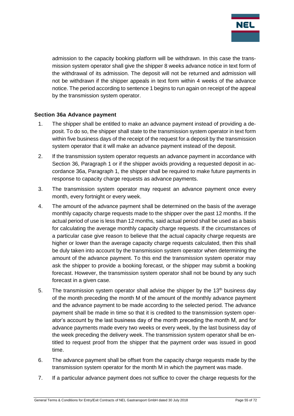

admission to the capacity booking platform will be withdrawn. In this case the transmission system operator shall give the shipper 8 weeks advance notice in text form of the withdrawal of its admission. The deposit will not be returned and admission will not be withdrawn if the shipper appeals in text form within 4 weeks of the advance notice. The period according to sentence 1 begins to run again on receipt of the appeal by the transmission system operator.

### **Section 36a Advance payment**

- 1. The shipper shall be entitled to make an advance payment instead of providing a deposit. To do so, the shipper shall state to the transmission system operator in text form within five business days of the receipt of the request for a deposit by the transmission system operator that it will make an advance payment instead of the deposit.
- 2. If the transmission system operator requests an advance payment in accordance with Section 36, Paragraph 1 or if the shipper avoids providing a requested deposit in accordance 36a, Paragraph 1, the shipper shall be required to make future payments in response to capacity charge requests as advance payments.
- 3. The transmission system operator may request an advance payment once every month, every fortnight or every week.
- 4. The amount of the advance payment shall be determined on the basis of the average monthly capacity charge requests made to the shipper over the past 12 months. If the actual period of use is less than 12 months, said actual period shall be used as a basis for calculating the average monthly capacity charge requests. If the circumstances of a particular case give reason to believe that the actual capacity charge requests are higher or lower than the average capacity charge requests calculated, then this shall be duly taken into account by the transmission system operator when determining the amount of the advance payment. To this end the transmission system operator may ask the shipper to provide a booking forecast, or the shipper may submit a booking forecast. However, the transmission system operator shall not be bound by any such forecast in a given case.
- 5. The transmission system operator shall advise the shipper by the 13<sup>th</sup> business day of the month preceding the month M of the amount of the monthly advance payment and the advance payment to be made according to the selected period. The advance payment shall be made in time so that it is credited to the transmission system operator's account by the last business day of the month preceding the month M, and for advance payments made every two weeks or every week, by the last business day of the week preceding the delivery week. The transmission system operator shall be entitled to request proof from the shipper that the payment order was issued in good time.
- 6. The advance payment shall be offset from the capacity charge requests made by the transmission system operator for the month M in which the payment was made.
- 7. If a particular advance payment does not suffice to cover the charge requests for the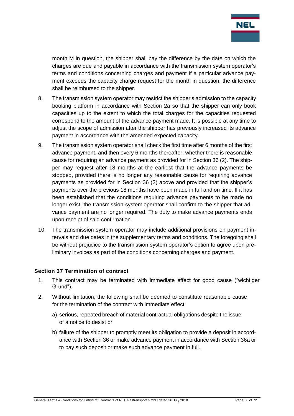

month M in question, the shipper shall pay the difference by the date on which the charges are due and payable in accordance with the transmission system operator's terms and conditions concerning charges and payment If a particular advance payment exceeds the capacity charge request for the month in question, the difference shall be reimbursed to the shipper.

- 8. The transmission system operator may restrict the shipper's admission to the capacity booking platform in accordance with Section 2a so that the shipper can only book capacities up to the extent to which the total charges for the capacities requested correspond to the amount of the advance payment made. It is possible at any time to adjust the scope of admission after the shipper has previously increased its advance payment in accordance with the amended expected capacity.
- 9. The transmission system operator shall check the first time after 6 months of the first advance payment, and then every 6 months thereafter, whether there is reasonable cause for requiring an advance payment as provided for in Section 36 (2). The shipper may request after 18 months at the earliest that the advance payments be stopped, provided there is no longer any reasonable cause for requiring advance payments as provided for in Section 36 (2) above and provided that the shipper's payments over the previous 18 months have been made in full and on time. If it has been established that the conditions requiring advance payments to be made no longer exist, the transmission system operator shall confirm to the shipper that advance payment are no longer required. The duty to make advance payments ends upon receipt of said confirmation.
- 10. The transmission system operator may include additional provisions on payment intervals and due dates in the supplementary terms and conditions. The foregoing shall be without prejudice to the transmission system operator's option to agree upon preliminary invoices as part of the conditions concerning charges and payment.

#### **Section 37 Termination of contract**

- 1. This contract may be terminated with immediate effect for good cause ("wichtiger Grund").
- 2. Without limitation, the following shall be deemed to constitute reasonable cause for the termination of the contract with immediate effect:
	- a) serious, repeated breach of material contractual obligations despite the issue of a notice to desist or
	- b) failure of the shipper to promptly meet its obligation to provide a deposit in accordance with Section 36 or make advance payment in accordance with Section 36a or to pay such deposit or make such advance payment in full.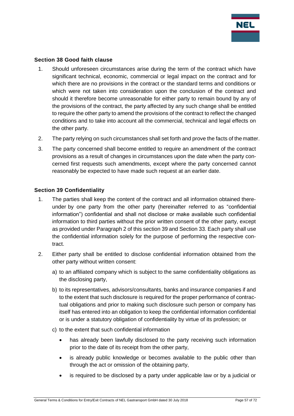

#### **Section 38 Good faith clause**

- 1. Should unforeseen circumstances arise during the term of the contract which have significant technical, economic, commercial or legal impact on the contract and for which there are no provisions in the contract or the standard terms and conditions or which were not taken into consideration upon the conclusion of the contract and should it therefore become unreasonable for either party to remain bound by any of the provisions of the contract, the party affected by any such change shall be entitled to require the other party to amend the provisions of the contract to reflect the changed conditions and to take into account all the commercial, technical and legal effects on the other party.
- 2. The party relying on such circumstances shall set forth and prove the facts of the matter.
- 3. The party concerned shall become entitled to require an amendment of the contract provisions as a result of changes in circumstances upon the date when the party concerned first requests such amendments, except where the party concerned cannot reasonably be expected to have made such request at an earlier date.

#### **Section 39 Confidentiality**

- 1. The parties shall keep the content of the contract and all information obtained thereunder by one party from the other party (hereinafter referred to as "confidential information") confidential and shall not disclose or make available such confidential information to third parties without the prior written consent of the other party, except as provided under Paragraph 2 of this section 39 and Section 33. Each party shall use the confidential information solely for the purpose of performing the respective contract.
- 2. Either party shall be entitled to disclose confidential information obtained from the other party without written consent:
	- a) to an affiliated company which is subject to the same confidentiality obligations as the disclosing party,
	- b) to its representatives, advisors/consultants, banks and insurance companies if and to the extent that such disclosure is required for the proper performance of contractual obligations and prior to making such disclosure such person or company has itself has entered into an obligation to keep the confidential information confidential or is under a statutory obligation of confidentiality by virtue of its profession; or
	- c) to the extent that such confidential information
		- has already been lawfully disclosed to the party receiving such information prior to the date of its receipt from the other party,
		- is already public knowledge or becomes available to the public other than through the act or omission of the obtaining party,
		- is required to be disclosed by a party under applicable law or by a judicial or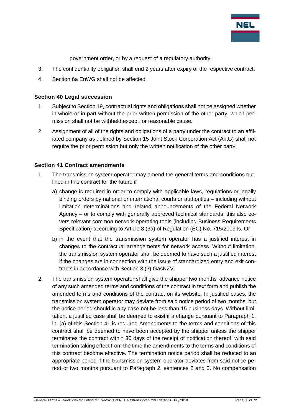

government order, or by a request of a regulatory authority.

- 3. The confidentiality obligation shall end 2 years after expiry of the respective contract.
- 4. Section 6a EnWG shall not be affected.

### **Section 40 Legal succession**

- 1. Subject to Section 19, contractual rights and obligations shall not be assigned whether in whole or in part without the prior written permission of the other party, which permission shall not be withheld except for reasonable cause.
- 2. Assignment of all of the rights and obligations of a party under the contract to an affiliated company as defined by Section 15 Joint Stock Corporation Act (AktG) shall not require the prior permission but only the written notification of the other party.

#### **Section 41 Contract amendments**

- 1. The transmission system operator may amend the general terms and conditions outlined in this contract for the future if
	- a) change is required in order to comply with applicable laws, regulations or legally binding orders by national or international courts or authorities – including without limitation determinations and related announcements of the Federal Network Agency – or to comply with generally approved technical standards; this also covers relevant common network operating tools (including Business Requirements Specification) according to Article 8 (3a) of Regulation (EC) No. 715/2009its. Or
	- b) in the event that the transmission system operator has a justified interest in changes to the contractual arrangements for network access. Without limitation, the transmission system operator shall be deemed to have such a justified interest if the changes are in connection with the issue of standardized entry and exit contracts in accordance with Section 3 (3) GasNZV.
- 2. The transmission system operator shall give the shipper two months' advance notice of any such amended terms and conditions of the contract in text form and publish the amended terms and conditions of the contract on its website. In justified cases, the transmission system operator may deviate from said notice period of two months, but the notice period should in any case not be less than 15 business days. Without limitation, a justified case shall be deemed to exist if a change pursuant to Paragraph 1, lit. (a) of this Section 41 is required Amendments to the terms and conditions of this contract shall be deemed to have been accepted by the shipper unless the shipper terminates the contract within 30 days of the receipt of notification thereof, with said termination taking effect from the time the amendments to the terms and conditions of this contract become effective. The termination notice period shall be reduced to an appropriate period if the transmission system operator deviates from said notice period of two months pursuant to Paragraph 2, sentences 2 and 3. No compensation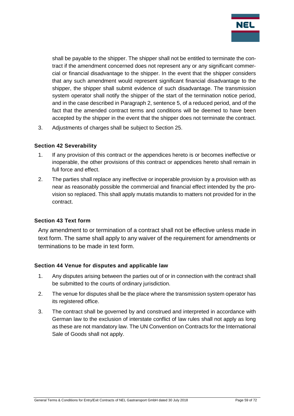

shall be payable to the shipper. The shipper shall not be entitled to terminate the contract if the amendment concerned does not represent any or any significant commercial or financial disadvantage to the shipper. In the event that the shipper considers that any such amendment would represent significant financial disadvantage to the shipper, the shipper shall submit evidence of such disadvantage. The transmission system operator shall notify the shipper of the start of the termination notice period, and in the case described in Paragraph 2, sentence 5, of a reduced period, and of the fact that the amended contract terms and conditions will be deemed to have been accepted by the shipper in the event that the shipper does not terminate the contract.

3. Adjustments of charges shall be subject to Section 25.

### **Section 42 Severability**

- 1. If any provision of this contract or the appendices hereto is or becomes ineffective or inoperable, the other provisions of this contract or appendices hereto shall remain in full force and effect.
- 2. The parties shall replace any ineffective or inoperable provision by a provision with as near as reasonably possible the commercial and financial effect intended by the provision so replaced. This shall apply mutatis mutandis to matters not provided for in the contract.

#### **Section 43 Text form**

Any amendment to or termination of a contract shall not be effective unless made in text form. The same shall apply to any waiver of the requirement for amendments or terminations to be made in text form.

#### **Section 44 Venue for disputes and applicable law**

- 1. Any disputes arising between the parties out of or in connection with the contract shall be submitted to the courts of ordinary jurisdiction.
- 2. The venue for disputes shall be the place where the transmission system operator has its registered office.
- 3. The contract shall be governed by and construed and interpreted in accordance with German law to the exclusion of interstate conflict of law rules shall not apply as long as these are not mandatory law. The UN Convention on Contracts for the International Sale of Goods shall not apply.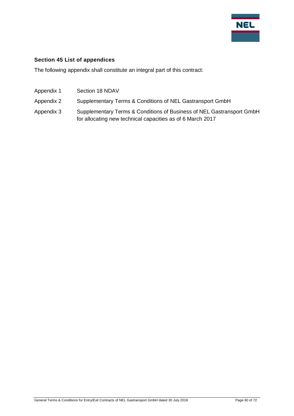

### **Section 45 List of appendices**

The following appendix shall constitute an integral part of this contract:

- Appendix 1 Section 18 NDAV
- Appendix 2 Supplementary Terms & Conditions of NEL Gastransport GmbH
- Appendix 3 Supplementary Terms & Conditions of Business of NEL Gastransport GmbH for allocating new technical capacities as of 6 March 2017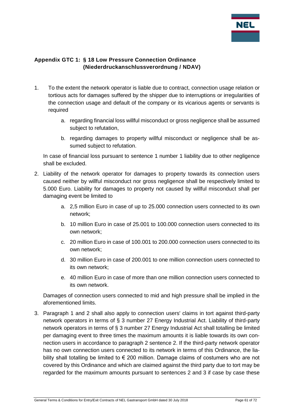

# **Appendix GTC 1: § 18 Low Pressure Connection Ordinance (Niederdruckanschlussverordnung / NDAV)**

- 1. To the extent the network operator is liable due to contract, connection usage relation or tortious acts for damages suffered by the shipper due to interruptions or irregularities of the connection usage and default of the company or its vicarious agents or servants is required
	- a. regarding financial loss willful misconduct or gross negligence shall be assumed subject to refutation,
	- b. regarding damages to property willful misconduct or negligence shall be assumed subject to refutation.

In case of financial loss pursuant to sentence 1 number 1 liability due to other negligence shall be excluded.

- 2. Liability of the network operator for damages to property towards its connection users caused neither by willful misconduct nor gross negligence shall be respectively limited to 5.000 Euro. Liability for damages to property not caused by willful misconduct shall per damaging event be limited to
	- a. 2,5 million Euro in case of up to 25.000 connection users connected to its own network;
	- b. 10 million Euro in case of 25.001 to 100.000 connection users connected to its own network;
	- c. 20 million Euro in case of 100.001 to 200.000 connection users connected to its own network;
	- d. 30 million Euro in case of 200.001 to one million connection users connected to its own network;
	- e. 40 million Euro in case of more than one million connection users connected to its own network.

Damages of connection users connected to mid and high pressure shall be implied in the aforementioned limits.

3. Paragraph 1 and 2 shall also apply to connection users' claims in tort against third-party network operators in terms of § 3 number 27 Energy Industrial Act. Liability of third-party network operators in terms of § 3 number 27 Energy Industrial Act shall totalling be limited per damaging event to three times the maximum amounts it is liable towards its own connection users in accordance to paragraph 2 sentence 2. If the third-party network operator has no own connection users connected to its network in terms of this Ordinance, the liability shall totalling be limited to  $\epsilon$  200 million. Damage claims of costumers who are not covered by this Ordinance and which are claimed against the third party due to tort may be regarded for the maximum amounts pursuant to sentences 2 and 3 if case by case these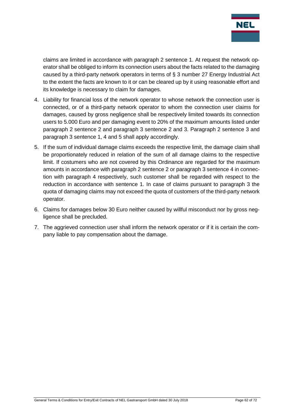

claims are limited in accordance with paragraph 2 sentence 1. At request the network operator shall be obliged to inform its connection users about the facts related to the damaging caused by a third-party network operators in terms of § 3 number 27 Energy Industrial Act to the extent the facts are known to it or can be cleared up by it using reasonable effort and its knowledge is necessary to claim for damages.

- 4. Liability for financial loss of the network operator to whose network the connection user is connected, or of a third-party network operator to whom the connection user claims for damages, caused by gross negligence shall be respectively limited towards its connection users to 5.000 Euro and per damaging event to 20% of the maximum amounts listed under paragraph 2 sentence 2 and paragraph 3 sentence 2 and 3. Paragraph 2 sentence 3 and paragraph 3 sentence 1, 4 and 5 shall apply accordingly.
- 5. If the sum of individual damage claims exceeds the respective limit, the damage claim shall be proportionately reduced in relation of the sum of all damage claims to the respective limit. If costumers who are not covered by this Ordinance are regarded for the maximum amounts in accordance with paragraph 2 sentence 2 or paragraph 3 sentence 4 in connection with paragraph 4 respectively, such customer shall be regarded with respect to the reduction in accordance with sentence 1. In case of claims pursuant to paragraph 3 the quota of damaging claims may not exceed the quota of customers of the third-party network operator.
- 6. Claims for damages below 30 Euro neither caused by willful misconduct nor by gross negligence shall be precluded.
- 7. The aggrieved connection user shall inform the network operator or if it is certain the company liable to pay compensation about the damage.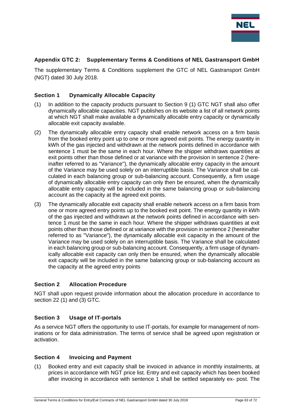

### **Appendix GTC 2: Supplementary Terms & Conditions of NEL Gastransport GmbH**

The supplementary Terms & Conditions supplement the GTC of NEL Gastransport GmbH (NGT) dated 30 July 2018.

#### **Section 1 Dynamically Allocable Capacity**

- (1) In addition to the capacity products pursuant to Section 9 (1) GTC NGT shall also offer dynamically allocable capacities. NGT publishes on its website a list of all network points at which NGT shall make available a dynamically allocable entry capacity or dynamically allocable exit capacity available.
- (2) The dynamically allocable entry capacity shall enable network access on a firm basis from the booked entry point up to one or more agreed exit points. The energy quantity in kWh of the gas injected and withdrawn at the network points defined in accordance with sentence 1 must be the same in each hour. Where the shipper withdraws quantities at exit points other than those defined or at variance with the provision in sentence 2 (hereinafter referred to as "Variance"), the dynamically allocable entry capacity in the amount of the Variance may be used solely on an interruptible basis. The Variance shall be calculated in each balancing group or sub-balancing account. Consequently, a firm usage of dynamically allocable entry capacity can only then be ensured, when the dynamically allocable entry capacity will be included in the same balancing group or sub-balancing account as the capacity at the agreed exit points.
- (3) The dynamically allocable exit capacity shall enable network access on a firm basis from one or more agreed entry points up to the booked exit point. The energy quantity in kWh of the gas injected and withdrawn at the network points defined in accordance with sentence 1 must be the same in each hour. Where the shipper withdraws quantities at exit points other than those defined or at variance with the provision in sentence 2 (hereinafter referred to as "Variance"), the dynamically allocable exit capacity in the amount of the Variance may be used solely on an interruptible basis. The Variance shall be calculated in each balancing group or sub-balancing account. Consequently, a firm usage of dynamically allocable exit capacity can only then be ensured, when the dynamically allocable exit capacity will be included in the same balancing group or sub-balancing account as the capacity at the agreed entry points

#### **Section 2 Allocation Procedure**

NGT shall upon request provide information about the allocation procedure in accordance to section 22 (1) and (3) GTC.

#### **Section 3 Usage of IT-portals**

As a service NGT offers the opportunity to use IT-portals, for example for management of nominations or for data administration. The terms of service shall be agreed upon registration or activation.

#### **Section 4 Invoicing and Payment**

(1) Booked entry and exit capacity shall be invoiced in advance in monthly instalments, at prices in accordance with NGT price list. Entry and exit capacity which has been booked after invoicing in accordance with sentence 1 shall be settled separately ex- post. The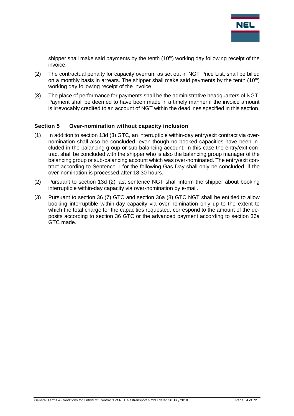

shipper shall make said payments by the tenth  $(10<sup>th</sup>)$  working day following receipt of the invoice.

- (2) The contractual penalty for capacity overrun, as set out in NGT Price List, shall be billed on a monthly basis in arrears. The shipper shall make said payments by the tenth  $(10<sup>th</sup>)$ working day following receipt of the invoice.
- (3) The place of performance for payments shall be the administrative headquarters of NGT. Payment shall be deemed to have been made in a timely manner if the invoice amount is irrevocably credited to an account of NGT within the deadlines specified in this section.

#### **Section 5 Over-nomination without capacity inclusion**

- (1) In addition to section 13d (3) GTC, an interruptible within-day entry/exit contract via overnomination shall also be concluded, even though no booked capacities have been included in the balancing group or sub-balancing account. In this case the entry/exit contract shall be concluded with the shipper who is also the balancing group manager of the balancing group or sub-balancing account which was over-nominated. The entry/exit contract according to Sentence 1 for the following Gas Day shall only be concluded, if the over-nomination is processed after 18:30 hours.
- (2) Pursuant to section 13d (2) last sentence NGT shall inform the shipper about booking interruptible within-day capacity via over-nomination by e-mail.
- (3) Pursuant to section 36 (7) GTC and section 36a (8) GTC NGT shall be entitled to allow booking interruptible within-day capacity via over-nomination only up to the extent to which the total charge for the capacities requested, correspond to the amount of the deposits according to section 36 GTC or the advanced payment according to section 36a GTC made.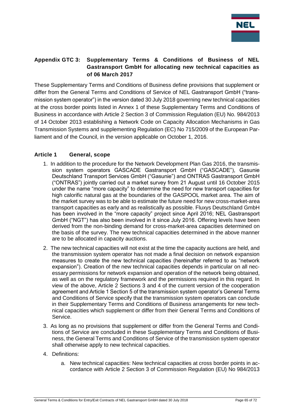

# **Appendix GTC 3: Supplementary Terms & Conditions of Business of NEL Gastransport GmbH for allocating new technical capacities as of 06 March 2017**

These Supplementary Terms and Conditions of Business define provisions that supplement or differ from the General Terms and Conditions of Service of NEL Gastransport GmbH ("transmission system operator") in the version dated 30 July 2018 governing new technical capacities at the cross border points listed in Annex 1 of these Supplementary Terms and Conditions of Business in accordance with Article 2 Section 3 of Commission Regulation (EU) No. 984/2013 of 14 October 2013 establishing a Network Code on Capacity Allocation Mechanisms in Gas Transmission Systems and supplementing Regulation (EC) No 715/2009 of the European Parliament and of the Council, in the version applicable on October 1, 2016.

## **Article 1 General, scope**

- 1. In addition to the procedure for the Network Development Plan Gas 2016, the transmission system operators GASCADE Gastransport GmbH ("GASCADE"), Gasunie Deutschland Transport Services GmbH ("Gasunie") and ONTRAS Gastransport GmbH ("ONTRAS") jointly carried out a market survey from 21 August until 16 October 2015 under the name "more capacity" to determine the need for new transport capacities for high calorific natural gas at the boundaries of the GASPOOL market area. The aim of the market survey was to be able to estimate the future need for new cross-market-area transport capacities as early and as realistically as possible. Fluxys Deutschland GmbH has been involved in the "more capacity" project since April 2016; NEL Gastransport GmbH ("NGT") has also been involved in it since July 2016. Offering levels have been derived from the non-binding demand for cross-market-area capacities determined on the basis of the survey. The new technical capacities determined in the above manner are to be allocated in capacity auctions.
- 2. The new technical capacities will not exist at the time the capacity auctions are held, and the transmission system operator has not made a final decision on network expansion measures to create the new technical capacities (hereinafter referred to as "network expansion"). Creation of the new technical capacities depends in particular on all necessary permissions for network expansion and operation of the network being obtained, as well as on the regulatory framework and the permissions required in this regard. In view of the above, Article 2 Sections 3 and 4 of the current version of the cooperation agreement and Article 1 Section 5 of the transmission system operator's General Terms and Conditions of Service specify that the transmission system operators can conclude in their Supplementary Terms and Conditions of Business arrangements for new technical capacities which supplement or differ from their General Terms and Conditions of Service.
- 3. As long as no provisions that supplement or differ from the General Terms and Conditions of Service are concluded in these Supplementary Terms and Conditions of Business, the General Terms and Conditions of Service of the transmission system operator shall otherwise apply to new technical capacities.
- 4. Definitions:
	- a. New technical capacities: New technical capacities at cross border points in accordance with Article 2 Section 3 of Commission Regulation (EU) No 984/2013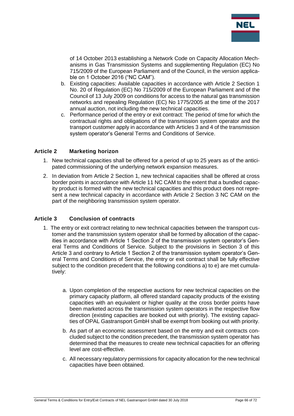

of 14 October 2013 establishing a Network Code on Capacity Allocation Mechanisms in Gas Transmission Systems and supplementing Regulation (EC) No 715/2009 of the European Parliament and of the Council, in the version applicable on 1 October 2016 ("NC CAM").

- b. Existing capacities: Available capacities in accordance with Article 2 Section 1 No. 20 of Regulation (EC) No 715/2009 of the European Parliament and of the Council of 13 July 2009 on conditions for access to the natural gas transmission networks and repealing Regulation (EC) No 1775/2005 at the time of the 2017 annual auction, not including the new technical capacities.
- c. Performance period of the entry or exit contract: The period of time for which the contractual rights and obligations of the transmission system operator and the transport customer apply in accordance with Articles 3 and 4 of the transmission system operator's General Terms and Conditions of Service.

### **Article 2 Marketing horizon**

- 1. New technical capacities shall be offered for a period of up to 25 years as of the anticipated commissioning of the underlying network expansion measures.
- 2. In deviation from Article 2 Section 1, new technical capacities shall be offered at cross border points in accordance with Article 11 NC CAM to the extent that a bundled capacity product is formed with the new technical capacities and this product does not represent a new technical capacity in accordance with Article 2 Section 3 NC CAM on the part of the neighboring transmission system operator.

#### **Article 3 Conclusion of contracts**

- 1. The entry or exit contract relating to new technical capacities between the transport customer and the transmission system operator shall be formed by allocation of the capacities in accordance with Article 1 Section 2 of the transmission system operator's General Terms and Conditions of Service. Subject to the provisions in Section 3 of this Article 3 and contrary to Article 1 Section 2 of the transmission system operator's General Terms and Conditions of Service, the entry or exit contract shall be fully effective subject to the condition precedent that the following conditions a) to e) are met cumulatively:
	- a. Upon completion of the respective auctions for new technical capacities on the primary capacity platform, all offered standard capacity products of the existing capacities with an equivalent or higher quality at the cross border points have been marketed across the transmission system operators in the respective flow direction (existing capacities are booked out with priority). The existing capacities of OPAL Gastransport GmbH shall be exempt from booking out with priority.
	- b. As part of an economic assessment based on the entry and exit contracts concluded subject to the condition precedent, the transmission system operator has determined that the measures to create new technical capacities for an offering level are cost-effective.
	- c. All necessary regulatory permissions for capacity allocation for the new technical capacities have been obtained.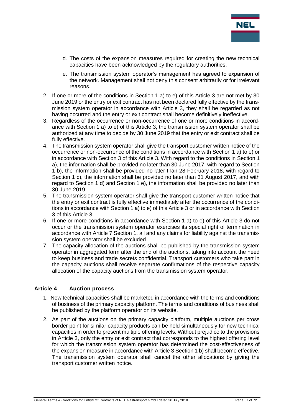

- d. The costs of the expansion measures required for creating the new technical capacities have been acknowledged by the regulatory authorities.
- e. The transmission system operator's management has agreed to expansion of the network. Management shall not deny this consent arbitrarily or for irrelevant reasons.
- 2. If one or more of the conditions in Section 1 a) to e) of this Article 3 are not met by 30 June 2019 or the entry or exit contract has not been declared fully effective by the transmission system operator in accordance with Article 3, they shall be regarded as not having occurred and the entry or exit contract shall become definitively ineffective.
- 3. Regardless of the occurrence or non-occurrence of one or more conditions in accordance with Section 1 a) to e) of this Article 3, the transmission system operator shall be authorized at any time to decide by 30 June 2019 that the entry or exit contract shall be fully effective.
- 4. The transmission system operator shall give the transport customer written notice of the occurrence or non-occurrence of the conditions in accordance with Section 1 a) to e) or in accordance with Section 3 of this Article 3. With regard to the conditions in Section 1 a), the information shall be provided no later than 30 June 2017, with regard to Section 1 b), the information shall be provided no later than 28 February 2018, with regard to Section 1 c), the information shall be provided no later than 31 August 2017, and with regard to Section 1 d) and Section 1 e), the information shall be provided no later than 30 June 2019.
- 5. The transmission system operator shall give the transport customer written notice that the entry or exit contract is fully effective immediately after the occurrence of the conditions in accordance with Section 1 a) to e) of this Article 3 or in accordance with Section 3 of this Article 3.
- 6. If one or more conditions in accordance with Section 1 a) to e) of this Article 3 do not occur or the transmission system operator exercises its special right of termination in accordance with Article 7 Section 1, all and any claims for liability against the transmission system operator shall be excluded.
- 7. The capacity allocation of the auctions shall be published by the transmission system operator in aggregated form after the end of the auctions, taking into account the need to keep business and trade secrets confidential. Transport customers who take part in the capacity auctions shall receive separate confirmations of the respective capacity allocation of the capacity auctions from the transmission system operator.

#### **Article 4 Auction process**

- 1. New technical capacities shall be marketed in accordance with the terms and conditions of business of the primary capacity platform. The terms and conditions of business shall be published by the platform operator on its website.
- 2. As part of the auctions on the primary capacity platform, multiple auctions per cross border point for similar capacity products can be held simultaneously for new technical capacities in order to present multiple offering levels. Without prejudice to the provisions in Article 3, only the entry or exit contract that corresponds to the highest offering level for which the transmission system operator has determined the cost-effectiveness of the expansion measure in accordance with Article 3 Section 1 b) shall become effective. The transmission system operator shall cancel the other allocations by giving the transport customer written notice.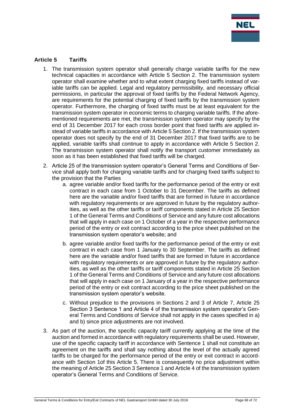

## **Article 5 Tariffs**

- 1. The transmission system operator shall generally charge variable tariffs for the new technical capacities in accordance with Article 5 Section 2. The transmission system operator shall examine whether and to what extent charging fixed tariffs instead of variable tariffs can be applied. Legal and regulatory permissibility, and necessary official permissions, in particular the approval of fixed tariffs by the Federal Network Agency, are requirements for the potential charging of fixed tariffs by the transmission system operator. Furthermore, the charging of fixed tariffs must be at least equivalent for the transmission system operator in economic terms to charging variable tariffs. If the aforementioned requirements are met, the transmission system operator may specify by the end of 31 December 2017 for each cross border point that fixed tariffs are applied instead of variable tariffs in accordance with Article 5 Section 2. If the transmission system operator does not specify by the end of 31 December 2017 that fixed tariffs are to be applied, variable tariffs shall continue to apply in accordance with Article 5 Section 2. The transmission system operator shall notify the transport customer immediately as soon as it has been established that fixed tariffs will be charged.
- 2. Article 25 of the transmission system operator's General Terms and Conditions of Service shall apply both for charging variable tariffs and for charging fixed tariffs subject to the provision that the Parties
	- a. agree variable and/or fixed tariffs for the performance period of the entry or exit contract in each case from 1 October to 31 December. The tariffs as defined here are the variable and/or fixed tariffs that are formed in future in accordance with regulatory requirements or are approved in future by the regulatory authorities, as well as the other tariffs or tariff components stated in Article 25 Section 1 of the General Terms and Conditions of Service and any future cost allocations that will apply in each case on 1 October of a year in the respective performance period of the entry or exit contract according to the price sheet published on the transmission system operator's website; and
	- b. agree variable and/or fixed tariffs for the performance period of the entry or exit contract in each case from 1 January to 30 September. The tariffs as defined here are the variable and/or fixed tariffs that are formed in future in accordance with regulatory requirements or are approved in future by the regulatory authorities, as well as the other tariffs or tariff components stated in Article 25 Section 1 of the General Terms and Conditions of Service and any future cost allocations that will apply in each case on 1 January of a year in the respective performance period of the entry or exit contract according to the price sheet published on the transmission system operator's website.
	- c. Without prejudice to the provisions in Sections 2 and 3 of Article 7, Article 25 Section 3 Sentence 1 and Article 4 of the transmission system operator's General Terms and Conditions of Service shall not apply in the cases specified in a) and b) since price adjustments are not involved.
- 3. As part of the auction, the specific capacity tariff currently applying at the time of the auction and formed in accordance with regulatory requirements shall be used. However, use of the specific capacity tariff in accordance with Sentence 1 shall not constitute an agreement on the tariffs and shall say nothing about the level of the actually agreed tariffs to be charged for the performance period of the entry or exit contract in accordance with Section 1of this Article 5. There is consequently no price adjustment within the meaning of Article 25 Section 3 Sentence 1 and Article 4 of the transmission system operator's General Terms and Conditions of Service.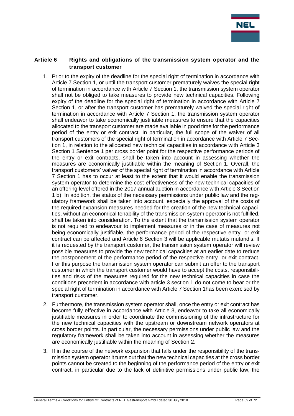

#### **Article 6 Rights and obligations of the transmission system operator and the transport customer**

- 1. Prior to the expiry of the deadline for the special right of termination in accordance with Article 7 Section 1, or until the transport customer prematurely waives the special right of termination in accordance with Article 7 Section 1, the transmission system operator shall not be obliged to take measures to provide new technical capacities. Following expiry of the deadline for the special right of termination in accordance with Article 7 Section 1, or after the transport customer has prematurely waived the special right of termination in accordance with Article 7 Section 1, the transmission system operator shall endeavor to take economically justifiable measures to ensure that the capacities allocated to the transport customer are made available in good time for the performance period of the entry or exit contract. In particular, the full scope of the waiver of all transport customers of the special right of termination in accordance with Article 7 Section 1, in relation to the allocated new technical capacities in accordance with Article 3 Section 1 Sentence 1 per cross border point for the respective performance periods of the entry or exit contracts, shall be taken into account in assessing whether the measures are economically justifiable within the meaning of Section 1. Overall, the transport customers' waiver of the special right of termination in accordance with Article 7 Section 1 has to occur at least to the extent that it would enable the transmission system operator to determine the cost-effectiveness of the new technical capacities of an offering level offered in the 2017 annual auction in accordance with Article 3 Section 1 b). In addition, the status of the necessary permissions under public law and the regulatory framework shall be taken into account, especially the approval of the costs of the required expansion measures needed for the creation of the new technical capacities, without an economical tenability of the transmission system operator is not fulfilled, shall be taken into consideration. To the extent that the transmission system operator is not required to endeavour to implement measures or in the case of measures not being economically justifiable, the performance period of the respective entry- or exit contract can be affected and Article 6 Section 3 will be applicable mutatis mutandis. If it is requested by the transport customer, the transmission system operator will review possible measures to provide the new technical capacities at an earlier date to reduce the postponement of the performance period of the respective entry- or exit contract. For this purpose the transmission system operator can submit an offer to the transport customer in which the transport customer would have to accept the costs, responsibilities and risks of the measures required for the new technical capacities in case the conditions precedent in accordance with article 3 section 1 do not come to bear or the special right of termination in accordance with Article 7 Section 1has been exercised by transport customer.
- 2. Furthermore, the transmission system operator shall, once the entry or exit contract has become fully effective in accordance with Article 3, endeavor to take all economically justifiable measures in order to coordinate the commissioning of the infrastructure for the new technical capacities with the upstream or downstream network operators at cross border points. In particular, the necessary permissions under public law and the regulatory framework shall be taken into account in assessing whether the measures are economically justifiable within the meaning of Section 2.
- 3. If in the course of the network expansion that falls under the responsibility of the transmission system operator it turns out that the new technical capacities at the cross border points cannot be created to the beginning of the performance period of the entry or exit contract, in particular due to the lack of definitive permissions under public law, the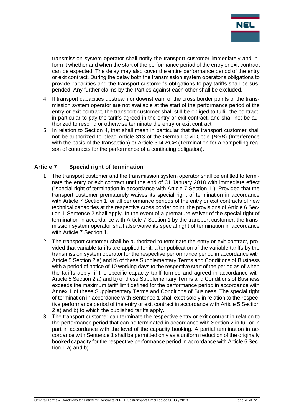

transmission system operator shall notify the transport customer immediately and inform it whether and when the start of the performance period of the entry or exit contract can be expected. The delay may also cover the entire performance period of the entry or exit contract. During the delay both the transmission system operator's obligations to provide capacities and the transport customer's obligations to pay tariffs shall be suspended. Any further claims by the Parties against each other shall be excluded.

- 4. If transport capacities upstream or downstream of the cross border points of the transmission system operator are not available at the start of the performance period of the entry or exit contract, the transport customer shall still be obliged to fulfill the contract, in particular to pay the tariffs agreed in the entry or exit contract, and shall not be authorized to rescind or otherwise terminate the entry or exit contract
- 5. In relation to Section 4, that shall mean in particular that the transport customer shall not be authorized to plead Article 313 of the German Civil Code (*BGB*) (Interference with the basis of the transaction) or Article 314 *BGB* (Termination for a compelling reason of contracts for the performance of a continuing obligation).

### **Article 7 Special right of termination**

- 1. The transport customer and the transmission system operator shall be entitled to terminate the entry or exit contract until the end of 31 January 2018 with immediate effect ("special right of termination in accordance with Article 7 Section 1"). Provided that the transport customer prematurely waives its special right of termination in accordance with Article 7 Section 1 for all performance periods of the entry or exit contracts of new technical capacities at the respective cross border point, the provisions of Article 6 Section 1 Sentence 2 shall apply. In the event of a premature waiver of the special right of termination in accordance with Article 7 Section 1 by the transport customer, the transmission system operator shall also waive its special right of termination in accordance with Article 7 Section 1.
- 2. The transport customer shall be authorized to terminate the entry or exit contract, provided that variable tariffs are applied for it, after publication of the variable tariffs by the transmission system operator for the respective performance period in accordance with Article 5 Section 2 a) and b) of these Supplementary Terms and Conditions of Business with a period of notice of 10 working days to the respective start of the period as of when the tariffs apply, if the specific capacity tariff formed and agreed in accordance with Article 5 Section 2 a) and b) of these Supplementary Terms and Conditions of Business exceeds the maximum tariff limit defined for the performance period in accordance with Annex 1 of these Supplementary Terms and Conditions of Business. The special right of termination in accordance with Sentence 1 shall exist solely in relation to the respective performance period of the entry or exit contract in accordance with Article 5 Section 2 a) and b) to which the published tariffs apply.
- 3. The transport customer can terminate the respective entry or exit contract in relation to the performance period that can be terminated in accordance with Section 2 in full or in part in accordance with the level of the capacity booking. A partial termination in accordance with Sentence 1 shall be permitted only as a uniform reduction of the originally booked capacity for the respective performance period in accordance with Article 5 Section 1 a) and b).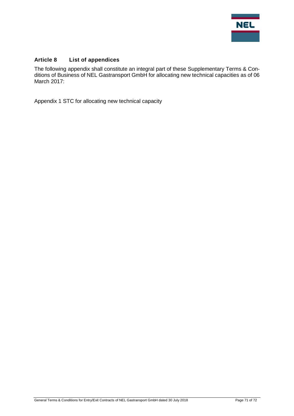

# **Article 8 List of appendices**

The following appendix shall constitute an integral part of these Supplementary Terms & Conditions of Business of NEL Gastransport GmbH for allocating new technical capacities as of 06 March 2017:

Appendix 1 STC for allocating new technical capacity